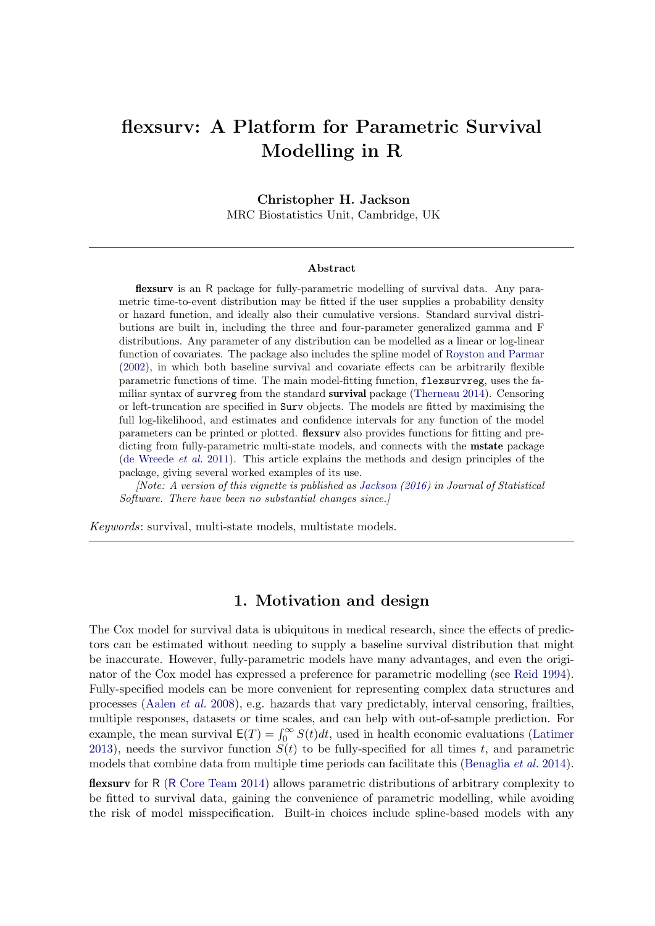# flexsurv: A Platform for Parametric Survival Modelling in R

Christopher H. Jackson MRC Biostatistics Unit, Cambridge, UK

#### Abstract

flexsurv is an R package for fully-parametric modelling of survival data. Any parametric time-to-event distribution may be fitted if the user supplies a probability density or hazard function, and ideally also their cumulative versions. Standard survival distributions are built in, including the three and four-parameter generalized gamma and F distributions. Any parameter of any distribution can be modelled as a linear or log-linear function of covariates. The package also includes the spline model of [Royston and Parmar](#page-32-0) [\(2002\)](#page-32-0), in which both baseline survival and covariate effects can be arbitrarily flexible parametric functions of time. The main model-fitting function, flexsurvreg, uses the familiar syntax of survreg from the standard survival package [\(Therneau](#page-32-1) [2014\)](#page-32-1). Censoring or left-truncation are specified in Surv objects. The models are fitted by maximising the full log-likelihood, and estimates and confidence intervals for any function of the model parameters can be printed or plotted. flexsurv also provides functions for fitting and predicting from fully-parametric multi-state models, and connects with the mstate package [\(de Wreede](#page-30-0) et al. [2011\)](#page-30-0). This article explains the methods and design principles of the package, giving several worked examples of its use.

[Note: A version of this vignette is published as [Jackson](#page-30-1) [\(2016\)](#page-30-1) in Journal of Statistical Software. There have been no substantial changes since.

Keywords: survival, multi-state models, multistate models.

## 1. Motivation and design

The Cox model for survival data is ubiquitous in medical research, since the effects of predictors can be estimated without needing to supply a baseline survival distribution that might be inaccurate. However, fully-parametric models have many advantages, and even the originator of the Cox model has expressed a preference for parametric modelling (see [Reid](#page-31-0) [1994\)](#page-31-0). Fully-specified models can be more convenient for representing complex data structures and processes [\(Aalen](#page-29-0) et al. [2008\)](#page-29-0), e.g. hazards that vary predictably, interval censoring, frailties, multiple responses, datasets or time scales, and can help with out-of-sample prediction. For example, the mean survival  $E(T) = \int_0^\infty S(t)dt$ , used in health economic evaluations [\(Latimer](#page-30-2) [2013\)](#page-30-2), needs the survivor function  $S(t)$  to be fully-specified for all times t, and parametric models that combine data from multiple time periods can facilitate this [\(Benaglia](#page-29-1) et al. [2014\)](#page-29-1).

flexsurv for R (R [Core Team](#page-31-1) [2014\)](#page-31-1) allows parametric distributions of arbitrary complexity to be fitted to survival data, gaining the convenience of parametric modelling, while avoiding the risk of model misspecification. Built-in choices include spline-based models with any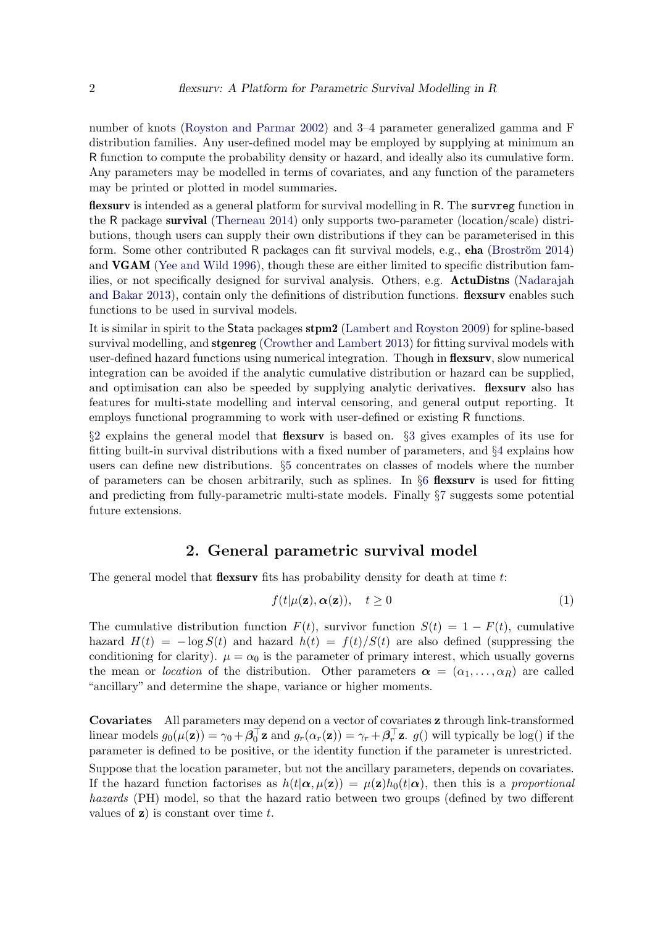number of knots [\(Royston and Parmar](#page-32-0) [2002\)](#page-32-0) and 3–4 parameter generalized gamma and F distribution families. Any user-defined model may be employed by supplying at minimum an R function to compute the probability density or hazard, and ideally also its cumulative form. Any parameters may be modelled in terms of covariates, and any function of the parameters may be printed or plotted in model summaries.

flexsurv is intended as a general platform for survival modelling in R. The survreg function in the R package survival [\(Therneau](#page-32-1) [2014\)](#page-32-1) only supports two-parameter (location/scale) distributions, though users can supply their own distributions if they can be parameterised in this form. Some other contributed R packages can fit survival models, e.g., **eha** (Broström [2014\)](#page-29-2) and VGAM [\(Yee and Wild](#page-32-2) [1996\)](#page-32-2), though these are either limited to specific distribution families, or not specifically designed for survival analysis. Others, e.g. ActuDistns [\(Nadarajah](#page-31-2) [and Bakar](#page-31-2) [2013\)](#page-31-2), contain only the definitions of distribution functions. **flexsurv** enables such functions to be used in survival models.

It is similar in spirit to the Stata packages stpm2 [\(Lambert and Royston](#page-30-3) [2009\)](#page-30-3) for spline-based survival modelling, and **stgenreg** [\(Crowther and Lambert](#page-29-3) [2013\)](#page-29-3) for fitting survival models with user-defined hazard functions using numerical integration. Though in **flexsurv**, slow numerical integration can be avoided if the analytic cumulative distribution or hazard can be supplied, and optimisation can also be speeded by supplying analytic derivatives. **flexsurv** also has features for multi-state modelling and interval censoring, and general output reporting. It employs functional programming to work with user-defined or existing R functions.

§[2](#page-1-0) explains the general model that flexsurv is based on. §[3](#page-2-0) gives examples of its use for fitting built-in survival distributions with a fixed number of parameters, and §[4](#page-10-0) explains how users can define new distributions. §[5](#page-13-0) concentrates on classes of models where the number of parameters can be chosen arbitrarily, such as splines. In  $\S6$  $\S6$  flexsurv is used for fitting and predicting from fully-parametric multi-state models. Finally §[7](#page-28-0) suggests some potential future extensions.

# 2. General parametric survival model

<span id="page-1-0"></span>The general model that **flexsurv** fits has probability density for death at time  $t$ :

<span id="page-1-1"></span>
$$
f(t|\mu(\mathbf{z}), \alpha(\mathbf{z})), \quad t \ge 0 \tag{1}
$$

The cumulative distribution function  $F(t)$ , survivor function  $S(t) = 1 - F(t)$ , cumulative hazard  $H(t) = -\log S(t)$  and hazard  $h(t) = f(t)/S(t)$  are also defined (suppressing the conditioning for clarity).  $\mu = \alpha_0$  is the parameter of primary interest, which usually governs the mean or *location* of the distribution. Other parameters  $\alpha = (\alpha_1, \ldots, \alpha_R)$  are called "ancillary" and determine the shape, variance or higher moments.

Covariates All parameters may depend on a vector of covariates z through link-transformed linear models  $g_0(\mu(\mathbf{z})) = \gamma_0 + \boldsymbol{\beta}_0^{\top} \mathbf{z}$  and  $g_r(\alpha_r(\mathbf{z})) = \gamma_r + \boldsymbol{\beta}_r^{\top} \mathbf{z}$ .  $g()$  will typically be log() if the parameter is defined to be positive, or the identity function if the parameter is unrestricted.

Suppose that the location parameter, but not the ancillary parameters, depends on covariates. If the hazard function factorises as  $h(t|\alpha, \mu(z)) = \mu(z)h_0(t|\alpha)$ , then this is a proportional hazards (PH) model, so that the hazard ratio between two groups (defined by two different values of  $z$ ) is constant over time t.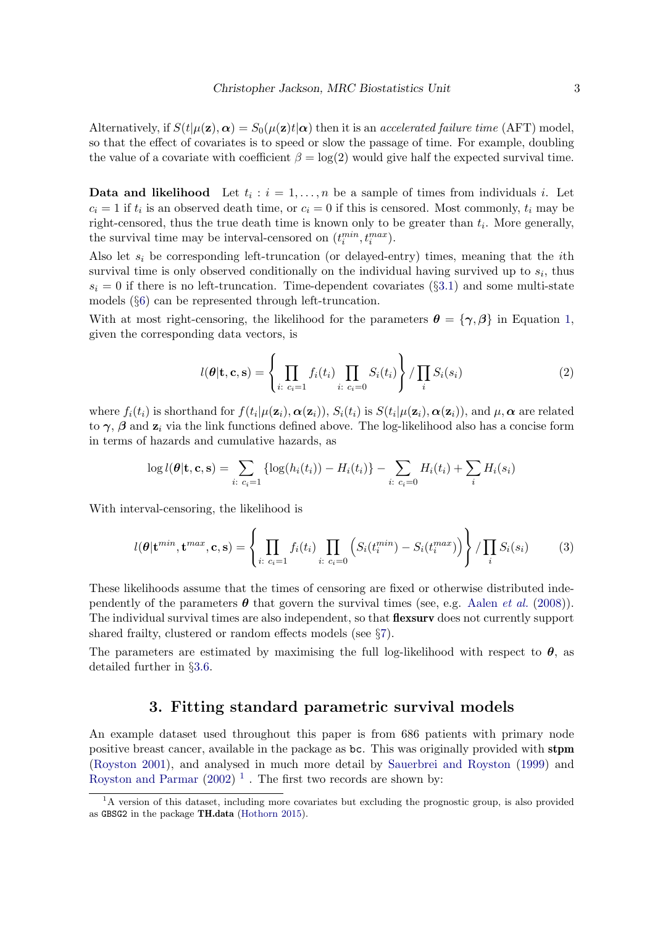Alternatively, if  $S(t|\mu(\mathbf{z}), \alpha) = S_0(\mu(\mathbf{z})t|\alpha)$  then it is an accelerated failure time (AFT) model, so that the effect of covariates is to speed or slow the passage of time. For example, doubling the value of a covariate with coefficient  $\beta = \log(2)$  would give half the expected survival time.

**Data and likelihood** Let  $t_i : i = 1, ..., n$  be a sample of times from individuals i. Let  $c_i = 1$  if  $t_i$  is an observed death time, or  $c_i = 0$  if this is censored. Most commonly,  $t_i$  may be right-censored, thus the true death time is known only to be greater than  $t_i$ . More generally, the survival time may be interval-censored on  $(t_i^{min}, t_i^{max})$ .

Also let  $s_i$  be corresponding left-truncation (or delayed-entry) times, meaning that the *i*th survival time is only observed conditionally on the individual having survived up to  $s_i$ , thus  $s_i = 0$  if there is no left-truncation. Time-dependent covariates (§[3.1\)](#page-4-0) and some multi-state models (§[6\)](#page-20-0) can be represented through left-truncation.

With at most right-censoring, the likelihood for the parameters  $\theta = {\gamma, \beta}$  in Equation [1,](#page-1-1) given the corresponding data vectors, is

<span id="page-2-3"></span>
$$
l(\boldsymbol{\theta}|\mathbf{t}, \mathbf{c}, \mathbf{s}) = \left\{ \prod_{i: \ c_i = 1} f_i(t_i) \prod_{i: \ c_i = 0} S_i(t_i) \right\} / \prod_i S_i(s_i)
$$
 (2)

where  $f_i(t_i)$  is shorthand for  $f(t_i|\mu(\mathbf{z}_i), \boldsymbol{\alpha}(\mathbf{z}_i))$ ,  $S_i(t_i)$  is  $S(t_i|\mu(\mathbf{z}_i), \boldsymbol{\alpha}(\mathbf{z}_i))$ , and  $\mu, \boldsymbol{\alpha}$  are related to  $\gamma$ ,  $\beta$  and  $z_i$  via the link functions defined above. The log-likelihood also has a concise form in terms of hazards and cumulative hazards, as

$$
\log l(\theta | \mathbf{t}, \mathbf{c}, \mathbf{s}) = \sum_{i: \ c_i = 1} \{ \log(h_i(t_i)) - H_i(t_i) \} - \sum_{i: \ c_i = 0} H_i(t_i) + \sum_i H_i(s_i)
$$

With interval-censoring, the likelihood is

<span id="page-2-2"></span>
$$
l(\boldsymbol{\theta}|\mathbf{t}^{min}, \mathbf{t}^{max}, \mathbf{c}, \mathbf{s}) = \left\{ \prod_{i: \ c_i=1} f_i(t_i) \prod_{i: \ c_i=0} \left( S_i(t_i^{min}) - S_i(t_i^{max}) \right) \right\} / \prod_i S_i(s_i)
$$
(3)

These likelihoods assume that the times of censoring are fixed or otherwise distributed independently of the parameters  $\theta$  that govern the survival times (see, e.g. [Aalen](#page-29-0) *et al.* [\(2008\)](#page-29-0)). The individual survival times are also independent, so that **flexsurv** does not currently support shared frailty, clustered or random effects models (see §[7\)](#page-28-0).

The parameters are estimated by maximising the full log-likelihood with respect to  $\theta$ , as detailed further in §[3.6.](#page-9-0)

## 3. Fitting standard parametric survival models

<span id="page-2-0"></span>An example dataset used throughout this paper is from 686 patients with primary node positive breast cancer, available in the package as bc. This was originally provided with stpm [\(Royston](#page-31-3) [2001\)](#page-31-3), and analysed in much more detail by [Sauerbrei and Royston](#page-32-3) [\(1999\)](#page-32-3) and [Royston and Parmar](#page-32-0)  $(2002)^{-1}$  $(2002)^{-1}$  $(2002)^{-1}$  $(2002)^{-1}$ . The first two records are shown by:

<span id="page-2-1"></span> $1<sup>1</sup>A$  version of this dataset, including more covariates but excluding the prognostic group, is also provided as GBSG2 in the package TH.data [\(Hothorn](#page-30-4) [2015\)](#page-30-4).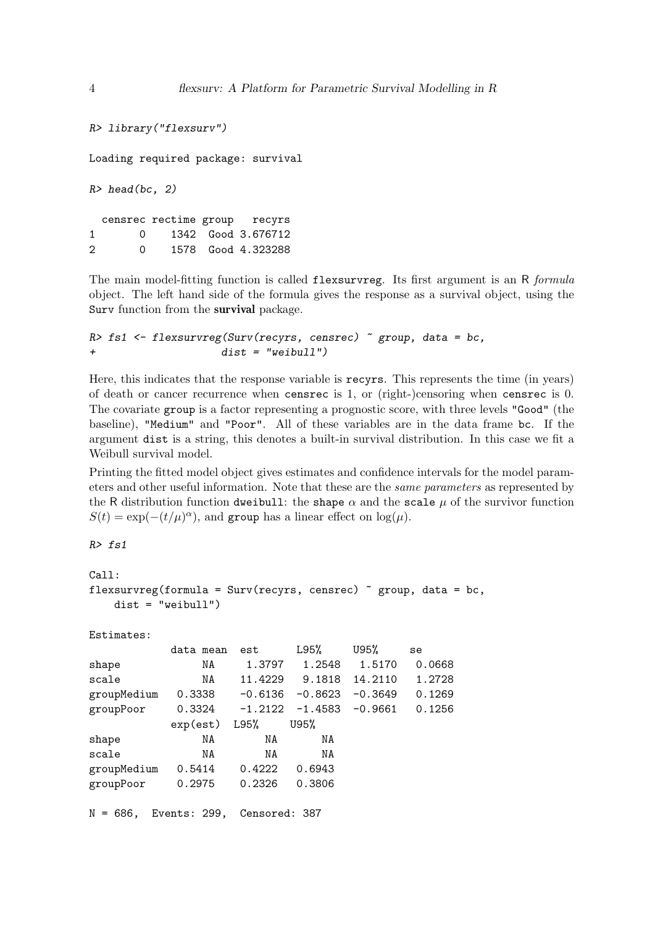```
R> library("flexsurv")
Loading required package: survival
R> head(bc, 2)
 censrec rectime group recyrs
1 0 1342 Good 3.676712
2 0 1578 Good 4.323288
```
The main model-fitting function is called flexsurvreg. Its first argument is an R formula object. The left hand side of the formula gives the response as a survival object, using the Surv function from the survival package.

```
R> fs1 <- flexsurvreg(Surv(recyrs, censrec) \tilde{ } group, data = bc,
+ dist = "weibull")
```
Here, this indicates that the response variable is recyrs. This represents the time (in years) of death or cancer recurrence when censrec is 1, or (right-)censoring when censrec is 0. The covariate group is a factor representing a prognostic score, with three levels "Good" (the baseline), "Medium" and "Poor". All of these variables are in the data frame bc. If the argument dist is a string, this denotes a built-in survival distribution. In this case we fit a Weibull survival model.

Printing the fitted model object gives estimates and confidence intervals for the model parameters and other useful information. Note that these are the same parameters as represented by the R distribution function dweibull: the shape  $\alpha$  and the scale  $\mu$  of the survivor function  $S(t) = \exp(-(t/\mu)^{\alpha})$ , and group has a linear effect on  $\log(\mu)$ .

R> fs1

```
Ca11:flexsurvreg(formula = Surv(recyrs, censrec) \tilde{ } group, data = bc,
    dist = "weibull")
```
Estimates:

|             | data mean                  | est       | L95%      | U95%      | se     |
|-------------|----------------------------|-----------|-----------|-----------|--------|
| shape       | NA                         | 1.3797    | 1.2548    | 1.5170    | 0.0668 |
| scale       | NA                         | 11.4229   | 9.1818    | 14.2110   | 1.2728 |
| groupMedium | 0.3338                     | -0.6136   | $-0.8623$ | $-0.3649$ | 0.1269 |
| groupPoor   | 0.3324                     | $-1.2122$ | -1.4583   | $-0.9661$ | 0.1256 |
|             | $exp(est)$ L95%            |           | U95%      |           |        |
| shape       | NA                         | NA        | NA        |           |        |
| scale       | NA                         | NA        | NA        |           |        |
| groupMedium | 0.5414                     | 0.4222    | 0.6943    |           |        |
| groupPoor   | 0.2975                     | 0.2326    | 0.3806    |           |        |
|             |                            |           |           |           |        |
| $N = 686$ , | Events: 299, Censored: 387 |           |           |           |        |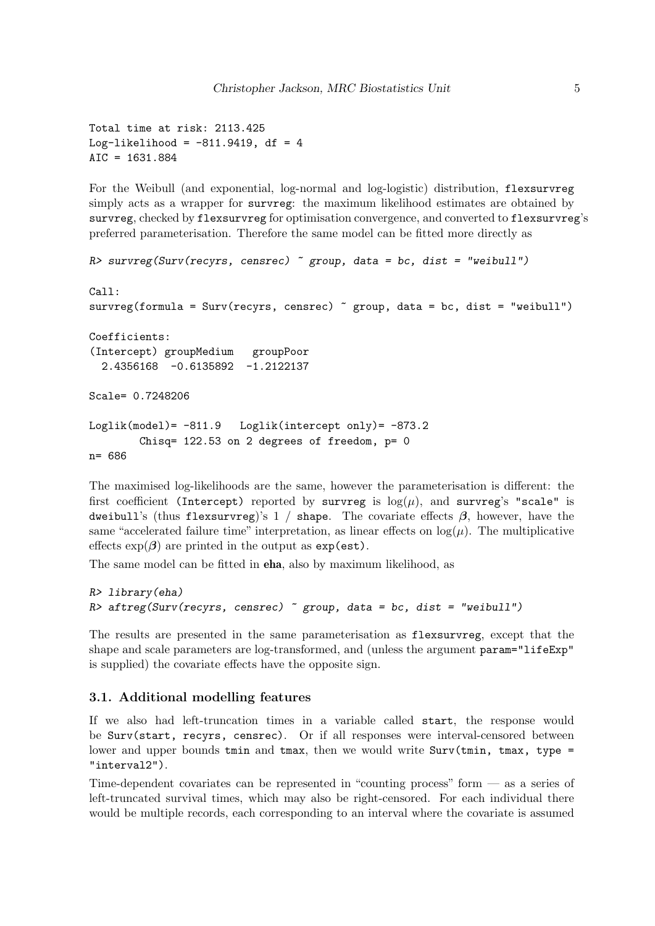Total time at risk: 2113.425 Log-likelihood =  $-811.9419$ , df = 4 AIC = 1631.884

For the Weibull (and exponential, log-normal and log-logistic) distribution, flexsurvreg simply acts as a wrapper for survreg: the maximum likelihood estimates are obtained by survreg, checked by flexsurvreg for optimisation convergence, and converted to flexsurvreg's preferred parameterisation. Therefore the same model can be fitted more directly as

```
R survreg(Surv(recyrs, censrec) \tilde{C} group, data = bc, dist = "weibull")
Call:
survreg(formula = Surv(recyrs, censrec) \tilde{ }</math> group, data = bc, dist = "weibull")Coefficients:
(Intercept) groupMedium groupPoor
  2.4356168 -0.6135892 -1.2122137
Scale= 0.7248206
Loglik(model)= -811.9 Loglik(intercept only)= -873.2
        Chisq= 122.53 on 2 degrees of freedom, p= 0
n= 686
```
The maximised log-likelihoods are the same, however the parameterisation is different: the first coefficient (Intercept) reported by survreg is  $log(\mu)$ , and survreg's "scale" is dweibull's (thus flexsurvreg)'s 1 / shape. The covariate effects  $\beta$ , however, have the same "accelerated failure time" interpretation, as linear effects on  $log(\mu)$ . The multiplicative effects  $\exp(\beta)$  are printed in the output as  $\exp(\text{est})$ .

The same model can be fitted in eha, also by maximum likelihood, as

```
R> library(eha)
R> aftreg(Surv(recyrs, censrec) \tilde{ } group, data = bc, dist = "weibull")
```
The results are presented in the same parameterisation as flexsurvreg, except that the shape and scale parameters are log-transformed, and (unless the argument param="lifeExp" is supplied) the covariate effects have the opposite sign.

## <span id="page-4-0"></span>3.1. Additional modelling features

If we also had left-truncation times in a variable called start, the response would be Surv(start, recyrs, censrec). Or if all responses were interval-censored between lower and upper bounds tmin and tmax, then we would write  $Surv(tmin, trans, type =$ "interval2").

Time-dependent covariates can be represented in "counting process" form — as a series of left-truncated survival times, which may also be right-censored. For each individual there would be multiple records, each corresponding to an interval where the covariate is assumed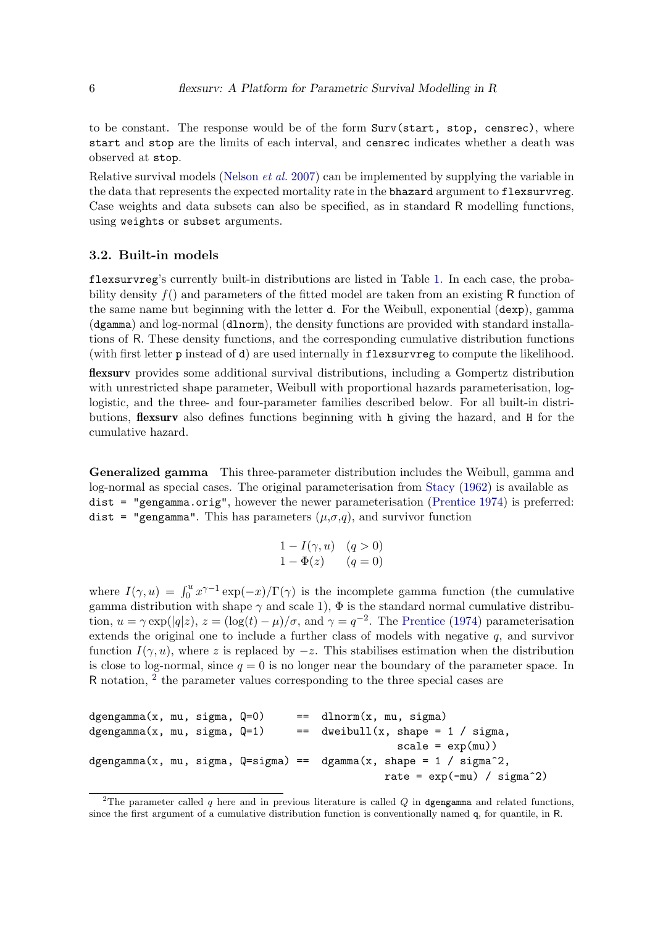to be constant. The response would be of the form Surv(start, stop, censrec), where start and stop are the limits of each interval, and censrec indicates whether a death was observed at stop.

Relative survival models [\(Nelson](#page-31-4) et al. [2007\)](#page-31-4) can be implemented by supplying the variable in the data that represents the expected mortality rate in the bhazard argument to flexsurvreg. Case weights and data subsets can also be specified, as in standard R modelling functions, using weights or subset arguments.

#### <span id="page-5-1"></span>3.2. Built-in models

flexsurvreg's currently built-in distributions are listed in Table [1.](#page-7-0) In each case, the probability density  $f()$  and parameters of the fitted model are taken from an existing R function of the same name but beginning with the letter d. For the Weibull, exponential (dexp), gamma (dgamma) and log-normal (dlnorm), the density functions are provided with standard installations of R. These density functions, and the corresponding cumulative distribution functions (with first letter p instead of d) are used internally in flexsurvreg to compute the likelihood.

flexsurv provides some additional survival distributions, including a Gompertz distribution with unrestricted shape parameter, Weibull with proportional hazards parameterisation, loglogistic, and the three- and four-parameter families described below. For all built-in distributions, flexsurv also defines functions beginning with h giving the hazard, and H for the cumulative hazard.

Generalized gamma This three-parameter distribution includes the Weibull, gamma and log-normal as special cases. The original parameterisation from [Stacy](#page-32-4) [\(1962\)](#page-32-4) is available as dist = "gengamma.orig", however the newer parameterisation [\(Prentice](#page-31-5) [1974\)](#page-31-5) is preferred: dist = "gengamma". This has parameters  $(\mu, \sigma, q)$ , and survivor function

$$
1 - I(\gamma, u) \quad (q > 0)
$$
  

$$
1 - \Phi(z) \qquad (q = 0)
$$

where  $I(\gamma, u) = \int_0^u x^{\gamma - 1} \exp(-x) / \Gamma(\gamma)$  is the incomplete gamma function (the cumulative gamma distribution with shape  $\gamma$  and scale 1),  $\Phi$  is the standard normal cumulative distribution,  $u = \gamma \exp(|q|z)$ ,  $z = (\log(t) - \mu)/\sigma$ , and  $\gamma = q^{-2}$ . The [Prentice](#page-31-5) [\(1974\)](#page-31-5) parameterisation extends the original one to include a further class of models with negative  $q$ , and survivor function  $I(\gamma, u)$ , where z is replaced by  $-z$ . This stabilises estimation when the distribution is close to log-normal, since  $q = 0$  is no longer near the boundary of the parameter space. In R notation, <sup>[2](#page-5-0)</sup> the parameter values corresponding to the three special cases are

```
dgengamma(x, mu, sigma, Q=0) == dlnorm(x, mu, sigma)
dgengamma(x, mu, sigma, Q=1) == dweibull(x, shape = 1 / sigma,
                                                   scale = exp(mu)dgengamma(x, mu, sigma, Q=sigma) == dgamma(x, shape = 1 / sigma<sup>2</sup>,
                                                 rate = exp(-mu) / sigma<sup>2</sup>)
```
<span id="page-5-0"></span><sup>&</sup>lt;sup>2</sup>The parameter called  $q$  here and in previous literature is called  $Q$  in dgengamma and related functions, since the first argument of a cumulative distribution function is conventionally named q, for quantile, in R.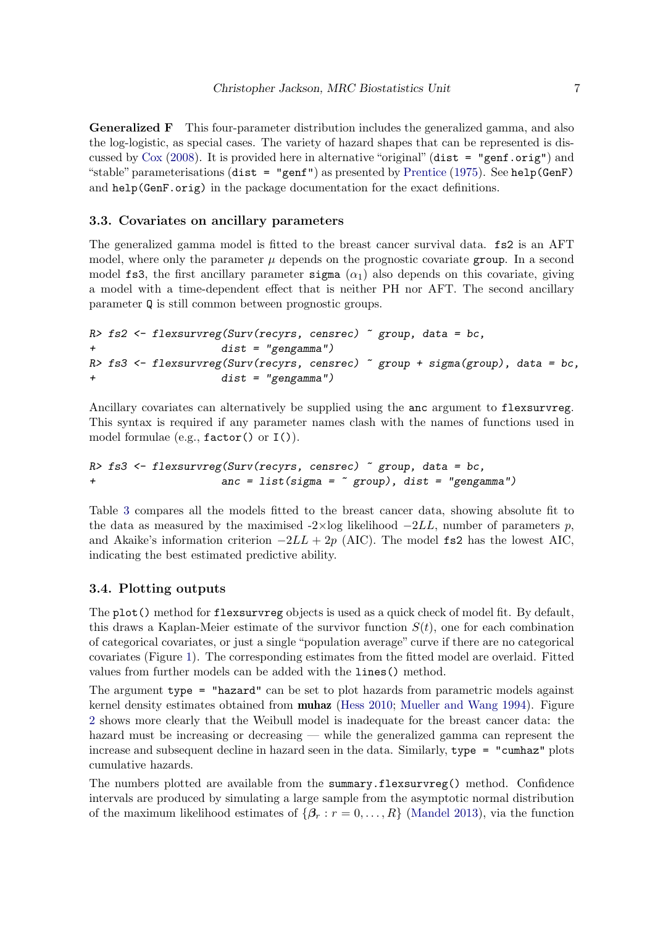Generalized F This four-parameter distribution includes the generalized gamma, and also the log-logistic, as special cases. The variety of hazard shapes that can be represented is discussed by  $Cox$  [\(2008\)](#page-29-4). It is provided here in alternative "original" (dist = "genf.orig") and "stable" parameterisations (dist = "genf") as presented by [Prentice](#page-31-6) [\(1975\)](#page-31-6). See help(GenF) and help(GenF.orig) in the package documentation for the exact definitions.

### 3.3. Covariates on ancillary parameters

The generalized gamma model is fitted to the breast cancer survival data. fs2 is an AFT model, where only the parameter  $\mu$  depends on the prognostic covariate group. In a second model fs3, the first ancillary parameter sigma  $(\alpha_1)$  also depends on this covariate, giving a model with a time-dependent effect that is neither PH nor AFT. The second ancillary parameter Q is still common between prognostic groups.

```
R> fs2 <- flexsurvreg(Surv(recyrs, censrec) \tilde{ } group, data = bc,
+ dist = "gengamma")
R> fs3 <- flexsurvreg(Surv(recyrs, censrec) ~ group + sigma(group), data = bc,
+ dist = "gengamma")
```
Ancillary covariates can alternatively be supplied using the anc argument to flexsurvreg. This syntax is required if any parameter names clash with the names of functions used in model formulae (e.g.,  $factor()$  or  $I()$ ).

```
R> fs3 <- flexsurvreg(Surv(recyrs, censrec) \tilde{ } group, data = bc,
+ anc = list(sigma = ~ group), dist = "gengamma")
```
Table [3](#page-17-0) compares all the models fitted to the breast cancer data, showing absolute fit to the data as measured by the maximised  $-2\times\log$  likelihood  $-2LL$ , number of parameters p, and Akaike's information criterion  $-2LL + 2p$  (AIC). The model fs2 has the lowest AIC, indicating the best estimated predictive ability.

### <span id="page-6-0"></span>3.4. Plotting outputs

The plot() method for flexsurvreg objects is used as a quick check of model fit. By default, this draws a Kaplan-Meier estimate of the survivor function  $S(t)$ , one for each combination of categorical covariates, or just a single "population average" curve if there are no categorical covariates (Figure [1\)](#page-8-0). The corresponding estimates from the fitted model are overlaid. Fitted values from further models can be added with the lines() method.

The argument type = "hazard" can be set to plot hazards from parametric models against kernel density estimates obtained from **muhaz** [\(Hess](#page-30-5) [2010;](#page-30-5) [Mueller and Wang](#page-31-7) [1994\)](#page-31-7). Figure [2](#page-9-1) shows more clearly that the Weibull model is inadequate for the breast cancer data: the hazard must be increasing or decreasing — while the generalized gamma can represent the increase and subsequent decline in hazard seen in the data. Similarly, type = "cumhaz" plots cumulative hazards.

The numbers plotted are available from the summary.flexsurvreg() method. Confidence intervals are produced by simulating a large sample from the asymptotic normal distribution of the maximum likelihood estimates of  $\{\beta_r : r = 0, \ldots, R\}$  [\(Mandel](#page-31-8) [2013\)](#page-31-8), via the function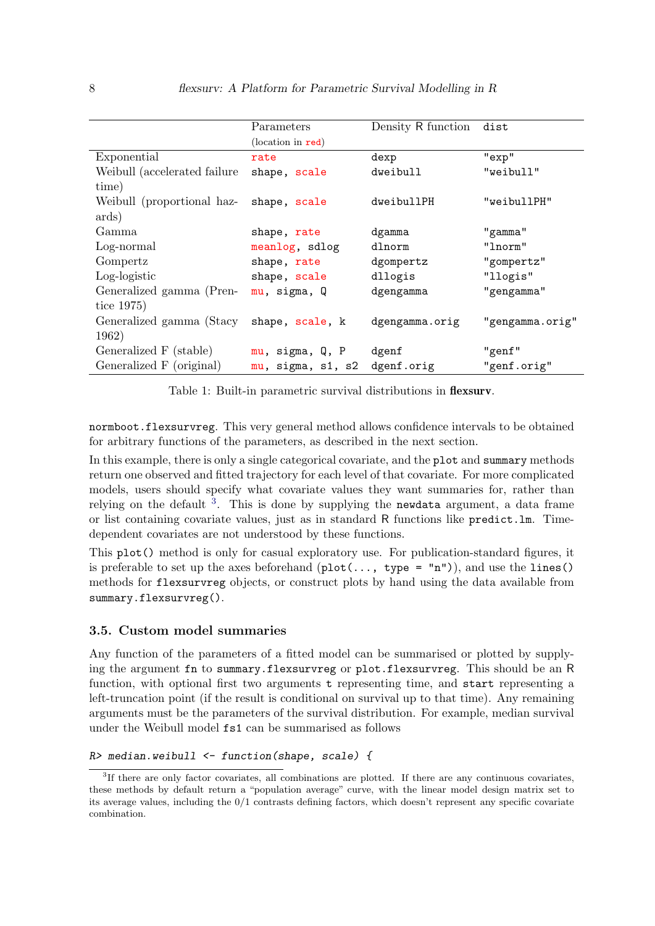|                                            | Parameters        | Density R function        | dist            |  |
|--------------------------------------------|-------------------|---------------------------|-----------------|--|
|                                            | (location in red) |                           |                 |  |
| Exponential                                | rate              | dexp                      | "exp"           |  |
| Weibull (accelerated failure)              | shape, scale      | dweibull                  | "weibull"       |  |
| time)                                      |                   |                           |                 |  |
| Weibull (proportional haz-<br>shape, scale |                   | dweibullPH<br>"weibullPH" |                 |  |
| ards)                                      |                   |                           |                 |  |
| Gamma                                      | shape, rate       | dgamma                    | "gamma"         |  |
| Log-normal                                 | meanlog, sdlog    | dlnorm                    | "lnorm"         |  |
| Gompertz                                   | shape, rate       | dgompertz                 | "gompertz"      |  |
| Log-logistic                               | shape, scale      | dllogis                   | "llogis"        |  |
| Generalized gamma (Pren-                   | mu, sigma, Q      | dgengamma                 | "gengamma"      |  |
| tice $1975$                                |                   |                           |                 |  |
| Generalized gamma (Stacy                   | shape, scale, k   | dgengamma.orig            | "gengamma.orig" |  |
| 1962)                                      |                   |                           |                 |  |
| Generalized F (stable)                     | mu, sigma, Q, P   | dgenf                     | "genf"          |  |
| Generalized F (original)                   | mu, sigma, s1, s2 | dgenf.orig                | "genf.orig"     |  |

<span id="page-7-0"></span>Table 1: Built-in parametric survival distributions in flexsurv.

normboot.flexsurvreg. This very general method allows confidence intervals to be obtained for arbitrary functions of the parameters, as described in the next section.

In this example, there is only a single categorical covariate, and the plot and summary methods return one observed and fitted trajectory for each level of that covariate. For more complicated models, users should specify what covariate values they want summaries for, rather than relying on the default <sup>[3](#page-7-1)</sup>. This is done by supplying the newdata argument, a data frame or list containing covariate values, just as in standard R functions like predict.lm. Timedependent covariates are not understood by these functions.

This plot() method is only for casual exploratory use. For publication-standard figures, it is preferable to set up the axes beforehand  $(\text{plot}(\ldots, \text{ type = "n"))})$ , and use the lines() methods for flexsurvreg objects, or construct plots by hand using the data available from summary.flexsurvreg().

## 3.5. Custom model summaries

Any function of the parameters of a fitted model can be summarised or plotted by supplying the argument fn to summary.flexsurvreg or plot.flexsurvreg. This should be an R function, with optional first two arguments t representing time, and start representing a left-truncation point (if the result is conditional on survival up to that time). Any remaining arguments must be the parameters of the survival distribution. For example, median survival under the Weibull model fs1 can be summarised as follows

```
R median.weibull \leq function(shape, scale) {
```
<span id="page-7-1"></span><sup>&</sup>lt;sup>3</sup>If there are only factor covariates, all combinations are plotted. If there are any continuous covariates, these methods by default return a "population average" curve, with the linear model design matrix set to its average values, including the 0/1 contrasts defining factors, which doesn't represent any specific covariate combination.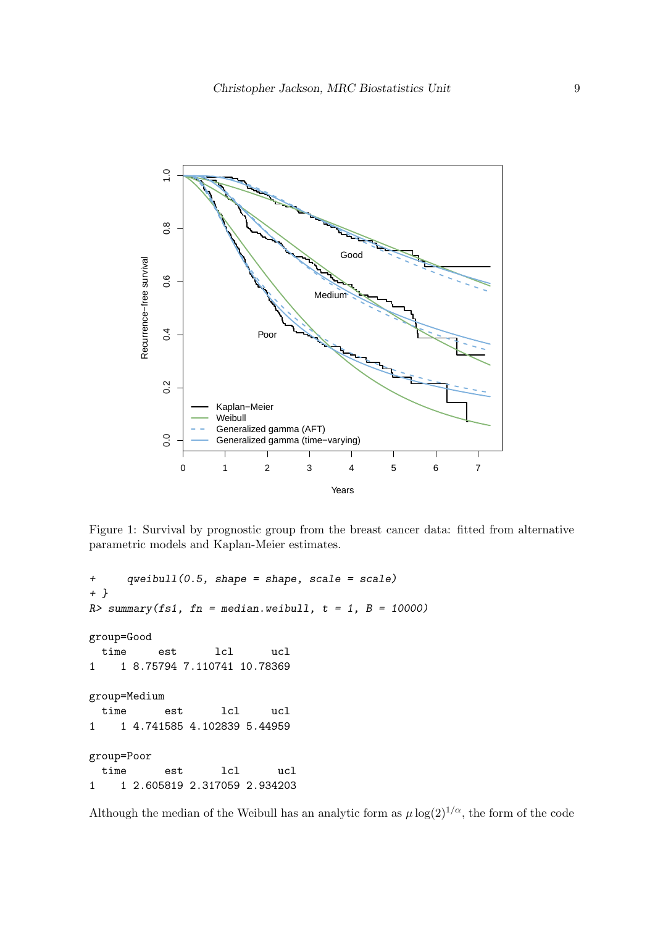

<span id="page-8-0"></span>Figure 1: Survival by prognostic group from the breast cancer data: fitted from alternative parametric models and Kaplan-Meier estimates.

```
+ qweibull(0.5, shape = shape, scale = scale)
+ }
R> summary(fs1, fn = median.weibull, t = 1, B = 10000)
group=Good
 time est lcl ucl
1 1 8.75794 7.110741 10.78369
group=Medium
 time est lcl ucl
1 1 4.741585 4.102839 5.44959
group=Poor
 time est lcl ucl
1 1 2.605819 2.317059 2.934203
```
Although the median of the Weibull has an analytic form as  $\mu \log(2)^{1/\alpha}$ , the form of the code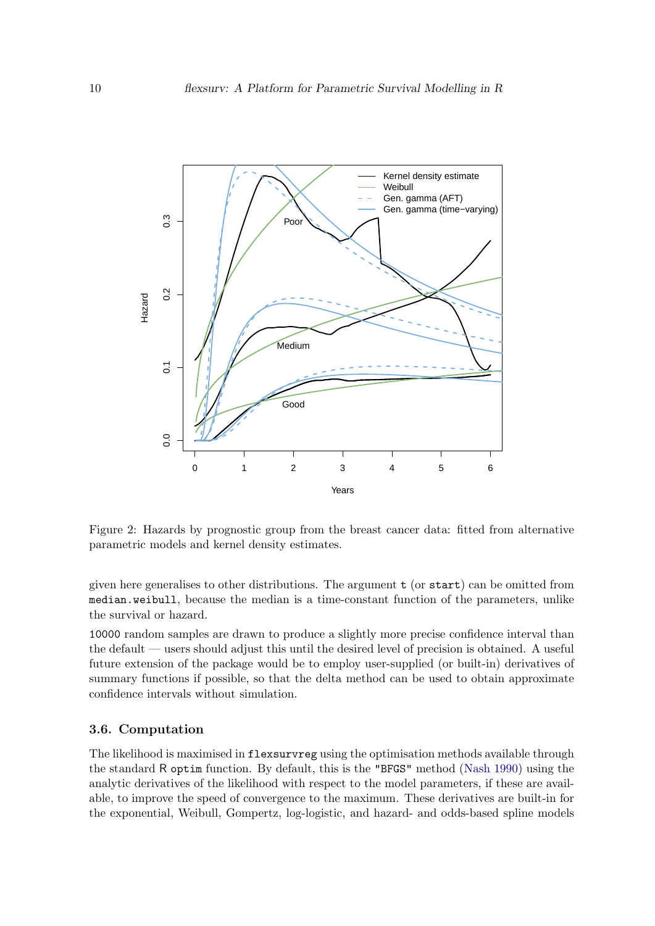

<span id="page-9-1"></span>Figure 2: Hazards by prognostic group from the breast cancer data: fitted from alternative parametric models and kernel density estimates.

given here generalises to other distributions. The argument  $t$  (or start) can be omitted from median.weibull, because the median is a time-constant function of the parameters, unlike the survival or hazard.

10000 random samples are drawn to produce a slightly more precise confidence interval than the default — users should adjust this until the desired level of precision is obtained. A useful future extension of the package would be to employ user-supplied (or built-in) derivatives of summary functions if possible, so that the delta method can be used to obtain approximate confidence intervals without simulation.

## <span id="page-9-0"></span>3.6. Computation

The likelihood is maximised in flexsurvreg using the optimisation methods available through the standard R optim function. By default, this is the "BFGS" method [\(Nash](#page-31-9) [1990\)](#page-31-9) using the analytic derivatives of the likelihood with respect to the model parameters, if these are available, to improve the speed of convergence to the maximum. These derivatives are built-in for the exponential, Weibull, Gompertz, log-logistic, and hazard- and odds-based spline models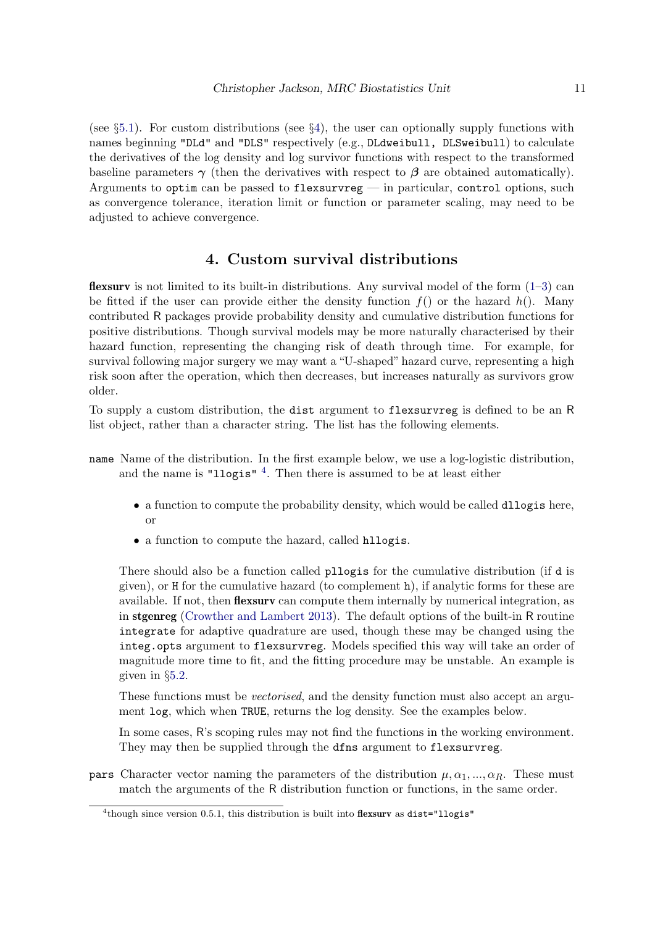(see §[5.1\)](#page-13-1). For custom distributions (see §[4\)](#page-10-0), the user can optionally supply functions with names beginning "DLd" and "DLS" respectively (e.g., DLdweibull, DLSweibull) to calculate the derivatives of the log density and log survivor functions with respect to the transformed baseline parameters  $\gamma$  (then the derivatives with respect to  $\beta$  are obtained automatically). Arguments to optim can be passed to flexsurvreg — in particular, control options, such as convergence tolerance, iteration limit or function or parameter scaling, may need to be adjusted to achieve convergence.

# 4. Custom survival distributions

<span id="page-10-0"></span>**flexsury** is not limited to its built-in distributions. Any survival model of the form  $(1-3)$  $(1-3)$  can be fitted if the user can provide either the density function  $f()$  or the hazard  $h()$ . Many contributed R packages provide probability density and cumulative distribution functions for positive distributions. Though survival models may be more naturally characterised by their hazard function, representing the changing risk of death through time. For example, for survival following major surgery we may want a "U-shaped" hazard curve, representing a high risk soon after the operation, which then decreases, but increases naturally as survivors grow older.

To supply a custom distribution, the dist argument to flexsurvreg is defined to be an R list object, rather than a character string. The list has the following elements.

- name Name of the distribution. In the first example below, we use a log-logistic distribution, and the name is "llogis"<sup>[4](#page-10-1)</sup>. Then there is assumed to be at least either
	- a function to compute the probability density, which would be called dllogis here, or
	- a function to compute the hazard, called hllogis.

There should also be a function called pllogis for the cumulative distribution (if d is given), or H for the cumulative hazard (to complement h), if analytic forms for these are available. If not, then flexsurv can compute them internally by numerical integration, as in stgenreg [\(Crowther and Lambert](#page-29-3) [2013\)](#page-29-3). The default options of the built-in R routine integrate for adaptive quadrature are used, though these may be changed using the integ.opts argument to flexsurvreg. Models specified this way will take an order of magnitude more time to fit, and the fitting procedure may be unstable. An example is given in §[5.2.](#page-17-1)

These functions must be *vectorised*, and the density function must also accept an argument log, which when TRUE, returns the log density. See the examples below.

In some cases, R's scoping rules may not find the functions in the working environment. They may then be supplied through the dfns argument to flexsurvreg.

**pars** Character vector naming the parameters of the distribution  $\mu, \alpha_1, ..., \alpha_R$ . These must match the arguments of the R distribution function or functions, in the same order.

<span id="page-10-1"></span> $4$ though since version 0.5.1, this distribution is built into flexsurv as dist="llogis"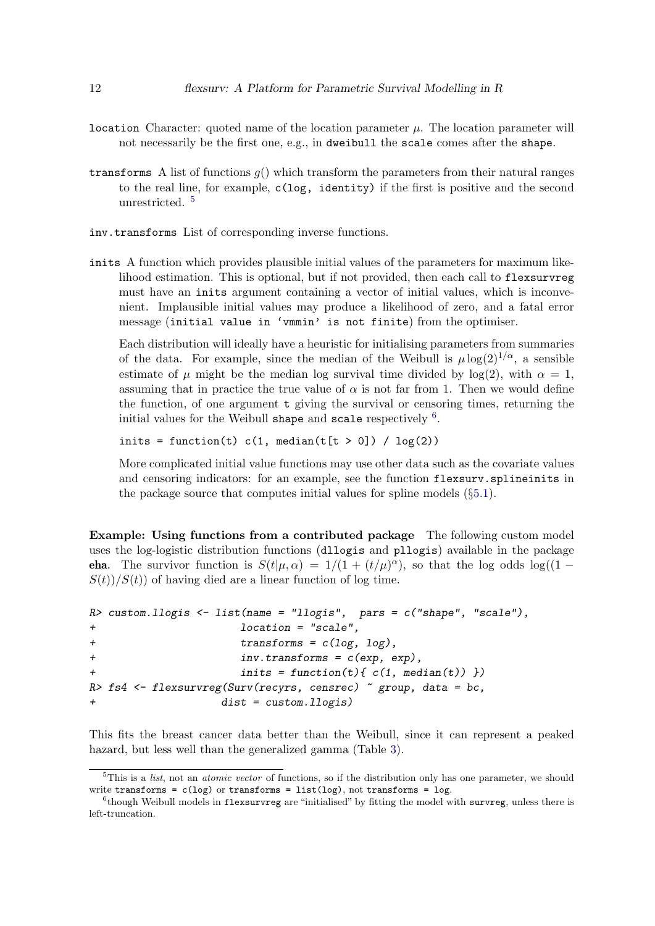- location Character: quoted name of the location parameter  $\mu$ . The location parameter will not necessarily be the first one, e.g., in dweibull the scale comes after the shape.
- transforms A list of functions  $g()$  which transform the parameters from their natural ranges to the real line, for example,  $c(\log, identity)$  if the first is positive and the second unrestricted. [5](#page-11-0)
- inv.transforms List of corresponding inverse functions.
- inits A function which provides plausible initial values of the parameters for maximum likelihood estimation. This is optional, but if not provided, then each call to flexsurvreg must have an inits argument containing a vector of initial values, which is inconvenient. Implausible initial values may produce a likelihood of zero, and a fatal error message (initial value in 'vmmin' is not finite) from the optimiser.

Each distribution will ideally have a heuristic for initialising parameters from summaries of the data. For example, since the median of the Weibull is  $\mu \log(2)^{1/\alpha}$ , a sensible estimate of  $\mu$  might be the median log survival time divided by log(2), with  $\alpha = 1$ , assuming that in practice the true value of  $\alpha$  is not far from 1. Then we would define the function, of one argument t giving the survival or censoring times, returning the initial values for the Weibull shape and scale respectively  $^6$  $^6$ .

inits = function(t)  $c(1, \text{median}(t[t > 0]) / \log(2))$ 

More complicated initial value functions may use other data such as the covariate values and censoring indicators: for an example, see the function flexsurv.splineinits in the package source that computes initial values for spline models  $(\S 5.1)$  $(\S 5.1)$ .

Example: Using functions from a contributed package The following custom model uses the log-logistic distribution functions (dllogis and pllogis) available in the package **eha**. The survivor function is  $S(t|\mu,\alpha) = 1/(1 + (t/\mu)^{\alpha})$ , so that the log odds  $\log((1 S(t)/S(t)$  of having died are a linear function of log time.

```
R> custom.llogis <- list(name = "llogis", pars = c("shape", "scale"),
+ location = "scale",
+ transforms = c(log, log),
+ inv.transforms = c(exp, exp),
+ inits = function(t){ c(1, median(t)) })
R> fs4 \leftarrow flexsurvreg(Surv(recyrs, censrec) \tilde{ } group, data = bc,
                dist = custom.llogis)
```
This fits the breast cancer data better than the Weibull, since it can represent a peaked hazard, but less well than the generalized gamma (Table [3\)](#page-17-0).

<span id="page-11-0"></span> $5$ This is a *list*, not an *atomic vector* of functions, so if the distribution only has one parameter, we should write transforms =  $c(log)$  or transforms = list(log), not transforms = log.

<span id="page-11-1"></span><sup>&</sup>lt;sup>6</sup>though Weibull models in flexsurvreg are "initialised" by fitting the model with survreg, unless there is left-truncation.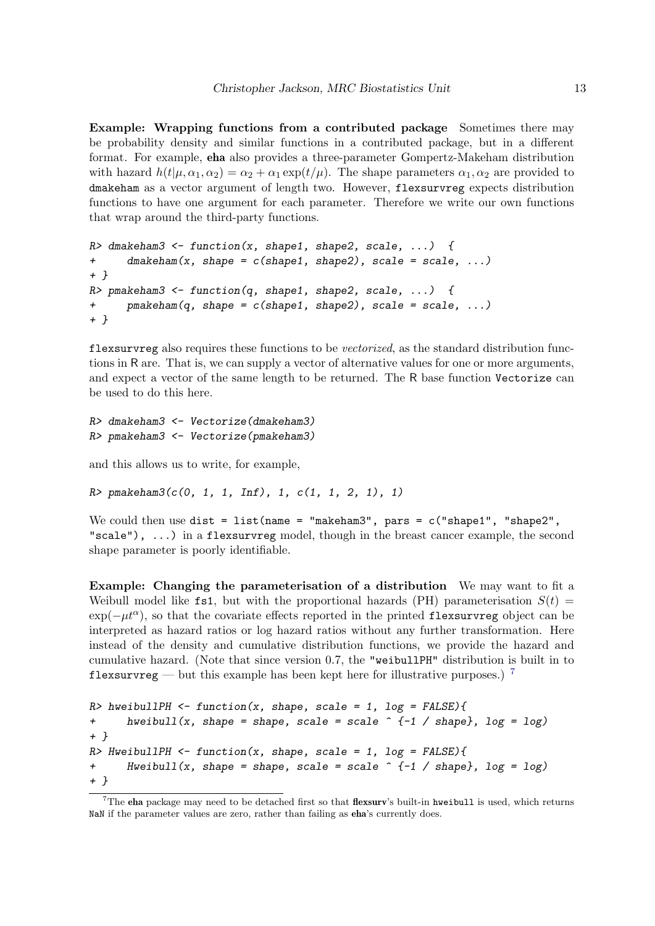Example: Wrapping functions from a contributed package Sometimes there may be probability density and similar functions in a contributed package, but in a different format. For example, eha also provides a three-parameter Gompertz-Makeham distribution with hazard  $h(t|\mu, \alpha_1, \alpha_2) = \alpha_2 + \alpha_1 \exp(t/\mu)$ . The shape parameters  $\alpha_1, \alpha_2$  are provided to dmakeham as a vector argument of length two. However, flexsurvreg expects distribution functions to have one argument for each parameter. Therefore we write our own functions that wrap around the third-party functions.

```
R dmakeham3 <- function(x, shape1, shape2, scale, ...) {
+ dmakeham(x, shape = c(shape1, shape2), scale = scale, ...)
+ }
R> pmakeham3 <- function(q, shape1, shape2, scale, ...) {
      pmakeham(q, shape = c(shape1, shape2), scale = scale, \dots)
+ }
```
flexsurvreg also requires these functions to be *vectorized*, as the standard distribution functions in R are. That is, we can supply a vector of alternative values for one or more arguments, and expect a vector of the same length to be returned. The R base function Vectorize can be used to do this here.

```
R> dmakeham3 <- Vectorize(dmakeham3)
R> pmakeham3 <- Vectorize(pmakeham3)
```
and this allows us to write, for example,

 $R$  pmakeham3( $c(0, 1, 1, \text{Inf})$ , 1,  $c(1, 1, 2, 1)$ , 1)

We could then use dist = list(name = "makeham3", pars =  $c$ ("shape1", "shape2", "scale"),  $\dots$ ) in a flexsurvreg model, though in the breast cancer example, the second shape parameter is poorly identifiable.

Example: Changing the parameterisation of a distribution We may want to fit a Weibull model like fs1, but with the proportional hazards (PH) parameterisation  $S(t)$  =  $\exp(-\mu t^{\alpha})$ , so that the covariate effects reported in the printed flexsurvreg object can be interpreted as hazard ratios or log hazard ratios without any further transformation. Here instead of the density and cumulative distribution functions, we provide the hazard and cumulative hazard. (Note that since version 0.7, the "weibullPH" distribution is built in to flexsurvreg — but this example has been kept here for illustrative purposes.)<sup>[7](#page-12-0)</sup>

```
R> hweibullPH <- function(x, shape, scale = 1, log = FALSE){
+ hweibull(x, shape = shape, scale = scale \hat{(-1)} / shape}, log = log)
+ }
R> HweibullPH \le function(x, shape, scale = 1, log = FALSE){
+ Hweibull(x, shape = shape, scale = scale \hat{ } {-1 / shape}, log = log)
+ }
```
<span id="page-12-0"></span> $7$ The eha package may need to be detached first so that flexsurv's built-in hweibull is used, which returns NaN if the parameter values are zero, rather than failing as eha's currently does.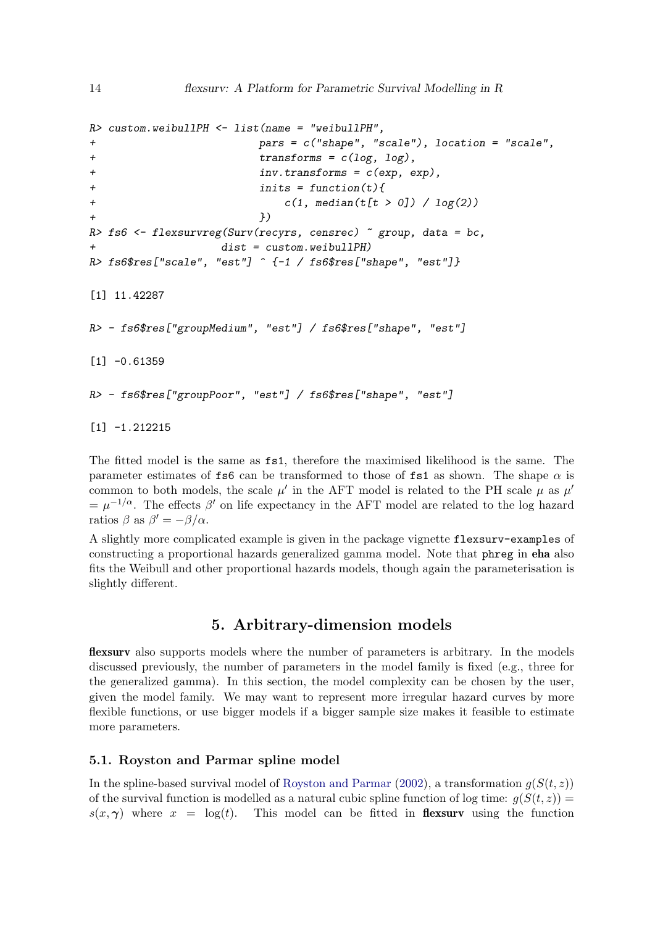```
R> custom.weibullPH \leq list(name = "weibullPH",
+ pars = c("shape", "scale"), location = "scale",
+ transforms = c(log, log),
+ inv.transforms = c(exp, exp),
+ inits = function(t){
+ c(1, median(t[t > 0]) / log(2))+ })
R> fs6 <- flexsurvreg(Surv(recyrs, censrec) \tilde{ } group, data = bc,
                dist = custom<u>weibullPH</u>)R> fs6$res["scale", "est"] ^ f-1 / fs6$res["shape", "est"]}
[1] 11.42287
R> - fs6$res["groupMedium", "est"] / fs6$res["shape", "est"]
[1] -0.61359R> - fs6$res["groupPoor", "est"] / fs6$res["shape", "est"]
```
[1] -1.212215

The fitted model is the same as fs1, therefore the maximised likelihood is the same. The parameter estimates of fs6 can be transformed to those of fs1 as shown. The shape  $\alpha$  is common to both models, the scale  $\mu'$  in the AFT model is related to the PH scale  $\mu$  as  $\mu'$  $=\mu^{-1/\alpha}$ . The effects  $\beta'$  on life expectancy in the AFT model are related to the log hazard ratios  $\beta$  as  $\beta' = -\beta/\alpha$ .

A slightly more complicated example is given in the package vignette flexsurv-examples of constructing a proportional hazards generalized gamma model. Note that phreg in eha also fits the Weibull and other proportional hazards models, though again the parameterisation is slightly different.

# 5. Arbitrary-dimension models

<span id="page-13-0"></span>flexsurv also supports models where the number of parameters is arbitrary. In the models discussed previously, the number of parameters in the model family is fixed (e.g., three for the generalized gamma). In this section, the model complexity can be chosen by the user, given the model family. We may want to represent more irregular hazard curves by more flexible functions, or use bigger models if a bigger sample size makes it feasible to estimate more parameters.

## <span id="page-13-1"></span>5.1. Royston and Parmar spline model

In the spline-based survival model of [Royston and Parmar](#page-32-0) [\(2002\)](#page-32-0), a transformation  $q(S(t, z))$ of the survival function is modelled as a natural cubic spline function of log time:  $q(S(t, z)) =$  $s(x, \gamma)$  where  $x = \log(t)$ . This model can be fitted in **flexsurv** using the function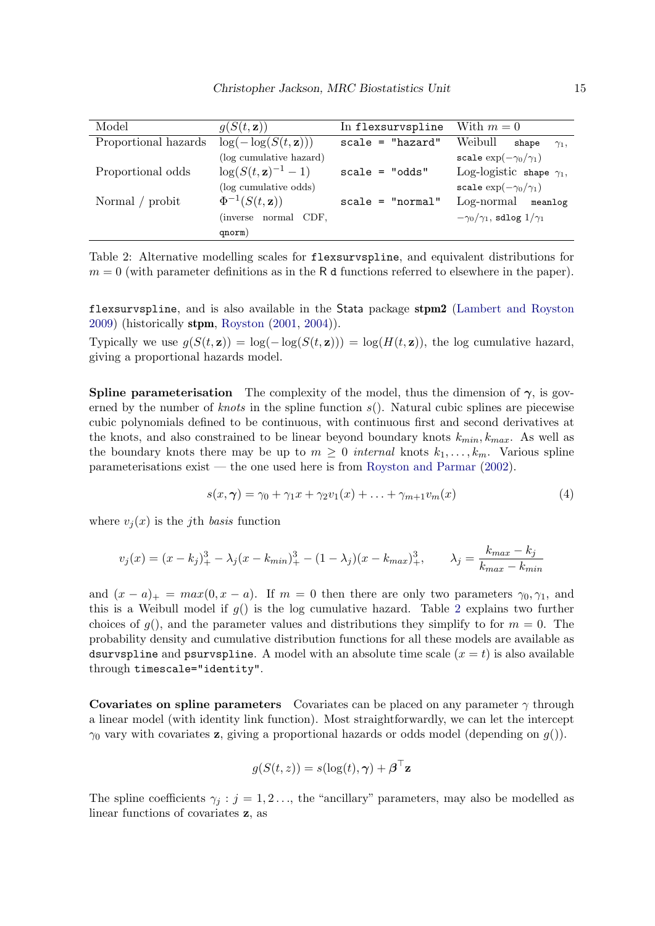| Model                | $g(S(t, \mathbf{z}))$             | In flexsurvspline  | With $m=0$                                |
|----------------------|-----------------------------------|--------------------|-------------------------------------------|
| Proportional hazards | $\log(-\log(S(t, \mathbf{z})))$   | $scale = "hazard"$ | Weibull<br>shape<br>$\gamma_1$ ,          |
|                      | (log cumulative hazard)           |                    | scale $\exp(-\gamma_0/\gamma_1)$          |
| Proportional odds    | $\log(S(t, \mathbf{z})^{-1} - 1)$ | $scale = "odds"$   | Log-logistic shape $\gamma_1$ ,           |
|                      | (log cumulative odds)             |                    | scale $\exp(-\gamma_0/\gamma_1)$          |
| Normal / probit      | $\Phi^{-1}(S(t,\mathbf{z}))$      | $scale = "normal"$ | Log-normal meanlog                        |
|                      | (inverse normal CDF,              |                    | $-\gamma_0/\gamma_1$ , sdlog $1/\gamma_1$ |
|                      | qnorm)                            |                    |                                           |

<span id="page-14-0"></span>Table 2: Alternative modelling scales for flexsurvspline, and equivalent distributions for  $m = 0$  (with parameter definitions as in the R d functions referred to elsewhere in the paper).

flexsurvspline, and is also available in the Stata package stpm2 [\(Lambert and Royston](#page-30-3) [2009\)](#page-30-3) (historically stpm, [Royston](#page-31-3) [\(2001,](#page-31-3) [2004\)](#page-31-10)).

Typically we use  $g(S(t, z)) = \log(-\log(S(t, z))) = \log(H(t, z))$ , the log cumulative hazard, giving a proportional hazards model.

**Spline parameterisation** The complexity of the model, thus the dimension of  $\gamma$ , is governed by the number of *knots* in the spline function  $s()$ . Natural cubic splines are piecewise cubic polynomials defined to be continuous, with continuous first and second derivatives at the knots, and also constrained to be linear beyond boundary knots  $k_{min}$ ,  $k_{max}$ . As well as the boundary knots there may be up to  $m \geq 0$  internal knots  $k_1, \ldots, k_m$ . Various spline parameterisations exist — the one used here is from [Royston and Parmar](#page-32-0) [\(2002\)](#page-32-0).

<span id="page-14-1"></span>
$$
s(x,\gamma) = \gamma_0 + \gamma_1 x + \gamma_2 v_1(x) + \ldots + \gamma_{m+1} v_m(x) \tag{4}
$$

where  $v_i(x)$  is the *j*th *basis* function

$$
v_j(x) = (x - k_j)_+^3 - \lambda_j (x - k_{min})_+^3 - (1 - \lambda_j)(x - k_{max})_+^3, \qquad \lambda_j = \frac{k_{max} - k_j}{k_{max} - k_{min}}
$$

and  $(x - a)_+ = max(0, x - a)$ . If  $m = 0$  then there are only two parameters  $\gamma_0, \gamma_1$ , and this is a Weibull model if  $q()$  is the log cumulative hazard. Table [2](#page-14-0) explains two further choices of  $g()$ , and the parameter values and distributions they simplify to for  $m = 0$ . The probability density and cumulative distribution functions for all these models are available as dsurvspline and psurvspline. A model with an absolute time scale  $(x = t)$  is also available through timescale="identity".

Covariates on spline parameters Covariates can be placed on any parameter  $\gamma$  through a linear model (with identity link function). Most straightforwardly, we can let the intercept  $\gamma_0$  vary with covariates **z**, giving a proportional hazards or odds model (depending on  $g()$ ).

$$
g(S(t, z)) = s(\log(t), \boldsymbol{\gamma}) + \boldsymbol{\beta}^\top \mathbf{z}
$$

The spline coefficients  $\gamma_i : j = 1, 2, \ldots$ , the "ancillary" parameters, may also be modelled as linear functions of covariates z, as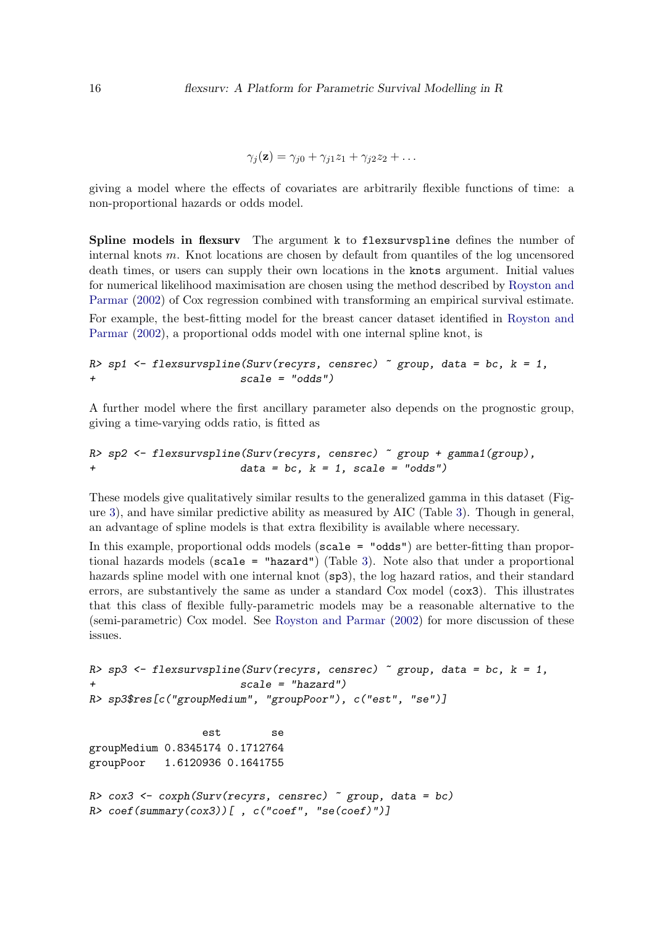$$
\gamma_j(\mathbf{z}) = \gamma_{j0} + \gamma_{j1} z_1 + \gamma_{j2} z_2 + \dots
$$

giving a model where the effects of covariates are arbitrarily flexible functions of time: a non-proportional hazards or odds model.

Spline models in flexsurv The argument k to flexsurvspline defines the number of internal knots m. Knot locations are chosen by default from quantiles of the log uncensored death times, or users can supply their own locations in the knots argument. Initial values for numerical likelihood maximisation are chosen using the method described by [Royston and](#page-32-0) [Parmar](#page-32-0) [\(2002\)](#page-32-0) of Cox regression combined with transforming an empirical survival estimate. For example, the best-fitting model for the breast cancer dataset identified in [Royston and](#page-32-0) [Parmar](#page-32-0) [\(2002\)](#page-32-0), a proportional odds model with one internal spline knot, is

```
R> sp1 \leftarrow flexsurvspline(Surv(recyrs, censrec) \sim group, data = bc, k = 1,
+ scale = "odds")
```
A further model where the first ancillary parameter also depends on the prognostic group, giving a time-varying odds ratio, is fitted as

```
R> sp2 \leftarrow flexsurvsplit (Surv(recyrs, censrec) \sim group + gamma1(group),
                          data = bc, k = 1, scale = "odds")
```
These models give qualitatively similar results to the generalized gamma in this dataset (Figure [3\)](#page-16-0), and have similar predictive ability as measured by AIC (Table [3\)](#page-17-0). Though in general, an advantage of spline models is that extra flexibility is available where necessary.

In this example, proportional odds models (scale = "odds") are better-fitting than proportional hazards models (scale = "hazard") (Table [3\)](#page-17-0). Note also that under a proportional hazards spline model with one internal knot (sp3), the log hazard ratios, and their standard errors, are substantively the same as under a standard Cox model (cox3). This illustrates that this class of flexible fully-parametric models may be a reasonable alternative to the (semi-parametric) Cox model. See [Royston and Parmar](#page-32-0) [\(2002\)](#page-32-0) for more discussion of these issues.

```
R> sp3 <- flexsurvspline(Surv(recyrs, censrec) \tilde{ } group, data = bc, k = 1,
                        scale = "hazard")R> sp3$res[c("groupMedium", "groupPoor"), c("est", "se")]
                  est se
groupMedium 0.8345174 0.1712764
groupPoor 1.6120936 0.1641755
R cox3 <- coxph(Surv(recyrs, censrec) \tilde{C} group, data = bc)
R> coef(summary(cox3))[, c("coef", "se(coef)")]
```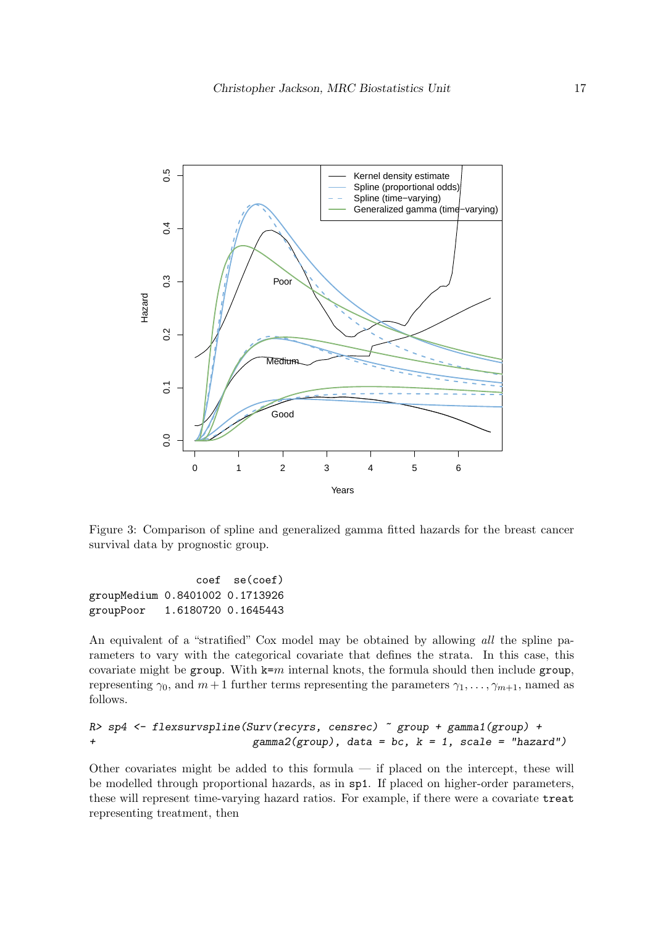

<span id="page-16-0"></span>Figure 3: Comparison of spline and generalized gamma fitted hazards for the breast cancer survival data by prognostic group.

coef se(coef) groupMedium 0.8401002 0.1713926 groupPoor 1.6180720 0.1645443

An equivalent of a "stratified" Cox model may be obtained by allowing all the spline parameters to vary with the categorical covariate that defines the strata. In this case, this covariate might be group. With  $k=m$  internal knots, the formula should then include group, representing  $\gamma_0$ , and  $m+1$  further terms representing the parameters  $\gamma_1, \ldots, \gamma_{m+1}$ , named as follows.

```
R> sp4 <- flexsurvspline(Surv(recyrs, censrec) ~ group + gamma1(group) +
+ gamma2(group), data = bc, k = 1, scale = "hazard")
```
Other covariates might be added to this formula — if placed on the intercept, these will be modelled through proportional hazards, as in sp1. If placed on higher-order parameters, these will represent time-varying hazard ratios. For example, if there were a covariate treat representing treatment, then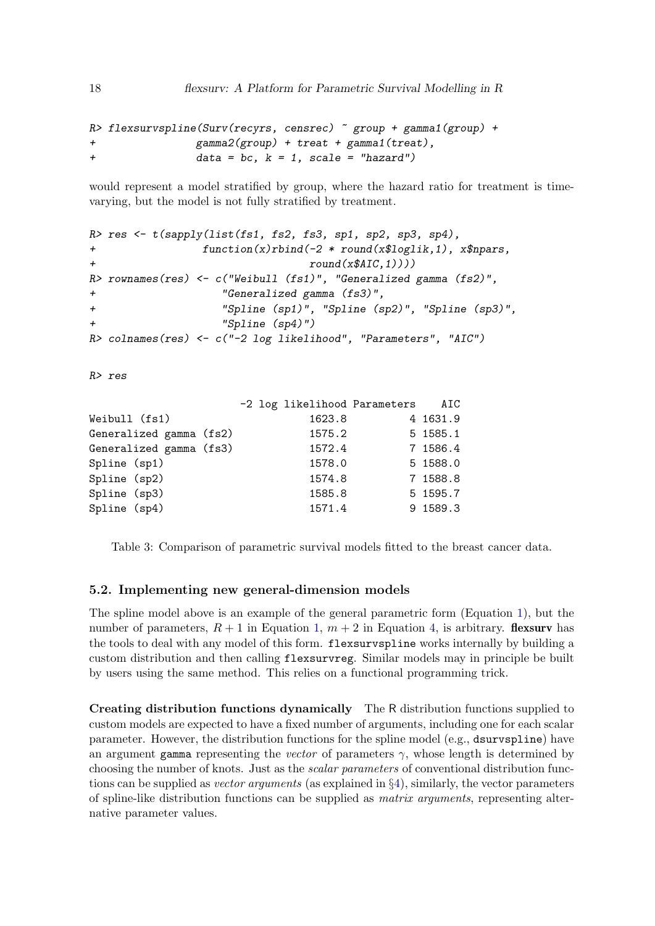```
R> flexsurvspline(Surv(recyrs, censrec) ~ group + gamma1(group) +
+ gamma2(group) + treat + gamma1(treat),
+ data = bc, k = 1, scale = "hazard")
```
would represent a model stratified by group, where the hazard ratio for treatment is timevarying, but the model is not fully stratified by treatment.

```
R> res <- t(sapply(list(fs1, fs2, fs3, sp1, sp2, sp3, sp4),
+ function(x)rbind(-2 * round(x$loglik,1), x$npars,
+ round(x$AIC,1))))R> rownames(res) <- c("Weibull (fs1)", "Generalized gamma (fs2)",
+ "Generalized gamma (fs3)",
+ "Spline (sp1)", "Spline (sp2)", "Spline (sp3)",
+ "Spline (sp4)")
R> colnames(res) <- c("-2 log likelihood", "Parameters", "AIC")
```
R> res

|                                                    |        | AIC                          |
|----------------------------------------------------|--------|------------------------------|
|                                                    | 1623.8 | 4 1631.9                     |
|                                                    | 1575.2 | 5 1585.1                     |
|                                                    | 1572.4 | 7 1586.4                     |
|                                                    | 1578.0 | 5 1588.0                     |
|                                                    | 1574.8 | 7 1588.8                     |
|                                                    | 1585.8 | 5 1595.7                     |
|                                                    | 1571.4 | 9 1589.3                     |
| Generalized gamma (fs2)<br>Generalized gamma (fs3) |        | -2 log likelihood Parameters |

<span id="page-17-0"></span>Table 3: Comparison of parametric survival models fitted to the breast cancer data.

#### <span id="page-17-1"></span>5.2. Implementing new general-dimension models

The spline model above is an example of the general parametric form (Equation [1\)](#page-1-1), but the number of parameters,  $R + 1$  in Equation [1,](#page-1-1)  $m + 2$  in Equation [4,](#page-14-1) is arbitrary. **flexsurv** has the tools to deal with any model of this form. flexsurvspline works internally by building a custom distribution and then calling flexsurvreg. Similar models may in principle be built by users using the same method. This relies on a functional programming trick.

Creating distribution functions dynamically The R distribution functions supplied to custom models are expected to have a fixed number of arguments, including one for each scalar parameter. However, the distribution functions for the spline model (e.g., dsurvspline) have an argument gamma representing the vector of parameters  $\gamma$ , whose length is determined by choosing the number of knots. Just as the scalar parameters of conventional distribution functions can be supplied as *vector arguments* (as explained in  $\S 4$ ), similarly, the vector parameters of spline-like distribution functions can be supplied as matrix arguments, representing alternative parameter values.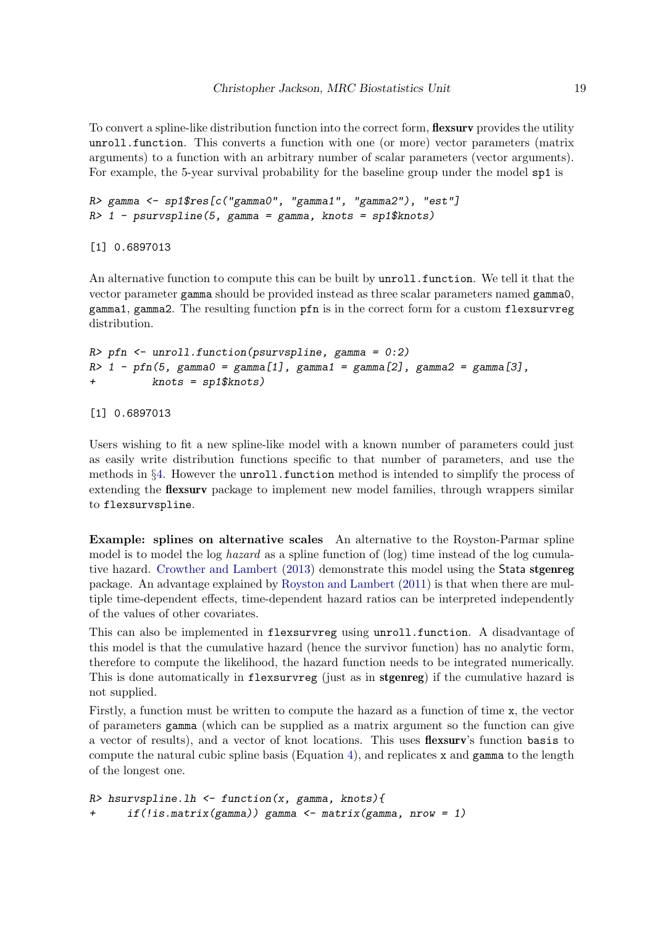To convert a spline-like distribution function into the correct form, **flexsurv** provides the utility unroll.function. This converts a function with one (or more) vector parameters (matrix arguments) to a function with an arbitrary number of scalar parameters (vector arguments). For example, the 5-year survival probability for the baseline group under the model sp1 is

```
R> gamma <- sp1$res[c("gamma0", "gamma1", "gamma2"), "est"]
R > 1 - psurvspline(5, gamma = gamma, knots = sp1$knots)
```
[1] 0.6897013

An alternative function to compute this can be built by unroll.function. We tell it that the vector parameter gamma should be provided instead as three scalar parameters named gamma0, gamma1, gamma2. The resulting function pfn is in the correct form for a custom flexsurvreg distribution.

```
R> pfn <- unroll.function(psurvspline, gamma = 0:2)
R> 1 - pfn(5, gamma0 = gamma[1], gamma1 = gamma[2], gamma2 = gamma[3],
         knots = sp1$knots)
```
[1] 0.6897013

Users wishing to fit a new spline-like model with a known number of parameters could just as easily write distribution functions specific to that number of parameters, and use the methods in  $\S4$ . However the unroll.function method is intended to simplify the process of extending the **flexsurv** package to implement new model families, through wrappers similar to flexsurvspline.

Example: splines on alternative scales An alternative to the Royston-Parmar spline model is to model the log hazard as a spline function of (log) time instead of the log cumulative hazard. [Crowther and Lambert](#page-29-3) [\(2013\)](#page-29-3) demonstrate this model using the Stata stgenreg package. An advantage explained by [Royston and Lambert](#page-31-11) [\(2011\)](#page-31-11) is that when there are multiple time-dependent effects, time-dependent hazard ratios can be interpreted independently of the values of other covariates.

This can also be implemented in flexsurvreg using unroll.function. A disadvantage of this model is that the cumulative hazard (hence the survivor function) has no analytic form, therefore to compute the likelihood, the hazard function needs to be integrated numerically. This is done automatically in flexsurvreg (just as in stgenreg) if the cumulative hazard is not supplied.

Firstly, a function must be written to compute the hazard as a function of time x, the vector of parameters gamma (which can be supplied as a matrix argument so the function can give a vector of results), and a vector of knot locations. This uses flexsurv's function basis to compute the natural cubic spline basis (Equation [4\)](#page-14-1), and replicates  $x$  and  $\gamma$  gamma to the length of the longest one.

```
R> hsurvspline.lh <- function(x, gamma, knots){
      if(!is.mathrix(gamma)) gamma \leftarrow matrix(gamma, nrow = 1)
```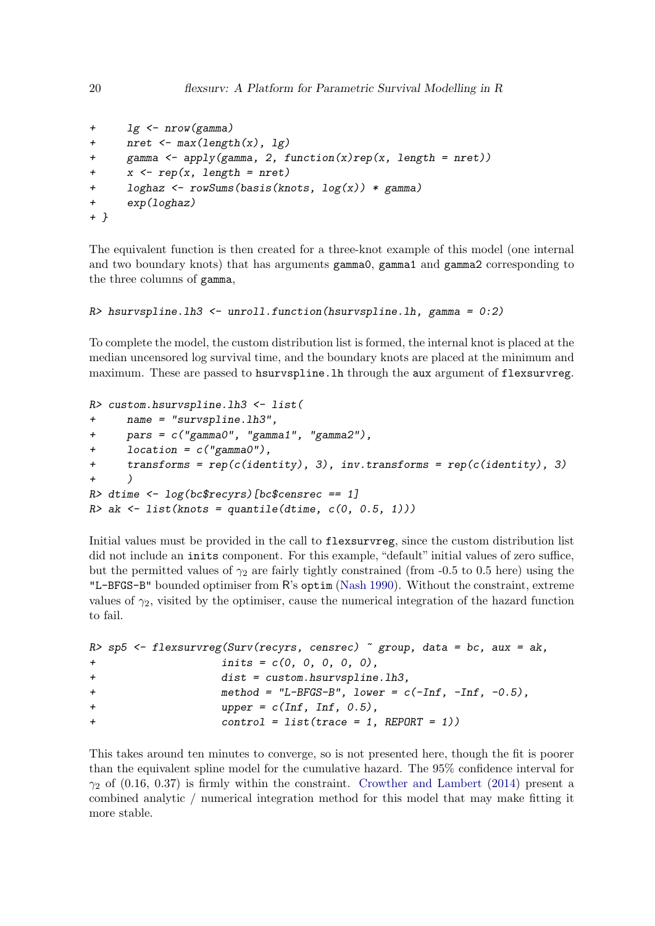```
+ lg <- nrow(gamma)
+ nret <- max(length(x), lg)
     gamma \leq apply(gamma, 2, function(x)rep(x, length = nret))
+ x \leq rep(x, length = nret)+ loghaz <- rowSums(basis(knots, log(x)) * gamma)
+ exp(loghaz)
+ }
```
The equivalent function is then created for a three-knot example of this model (one internal and two boundary knots) that has arguments gamma0, gamma1 and gamma2 corresponding to the three columns of gamma,

```
R> hsurvspline.lh3 <- unroll.function(hsurvspline.lh, gamma = 0:2)
```
To complete the model, the custom distribution list is formed, the internal knot is placed at the median uncensored log survival time, and the boundary knots are placed at the minimum and maximum. These are passed to hsurvspline. In through the aux argument of flexsurvreg.

```
R> custom.hsurvspline.lh3 <- list(
+ name = "survspline.lh3",
+ pars = c("gamma0", "gamma1", "gamma2"),
     location = c("gamma0").+ transforms = rep(c(identity), 3), inv.transforms = rep(c(identity), 3)
+ )
R> dtime <- log(bc$recyrs)[bc$censrec == 1]
R> ak <- list(knots = quantile(dtime, c(0, 0.5, 1)))
```
Initial values must be provided in the call to flexsurvreg, since the custom distribution list did not include an inits component. For this example, "default" initial values of zero suffice, but the permitted values of  $\gamma_2$  are fairly tightly constrained (from -0.5 to 0.5 here) using the "L-BFGS-B" bounded optimiser from R's optim [\(Nash](#page-31-9) [1990\)](#page-31-9). Without the constraint, extreme values of  $\gamma_2$ , visited by the optimiser, cause the numerical integration of the hazard function to fail.

```
R> sp5 <- flexsurvreg(Surv(recyrs, censrec) \tilde{ } group, data = bc, aux = ak,
+ inits = c(0, 0, 0, 0, 0),
+ dist = custom.hsurvspline.lh3,
+ method = "L-BFGS-B", lower = c(-Inf, -Inf, -0.5),
+ upper = c(Inf, Inf, 0.5),
+ control = list(trace = 1, REPORT = 1))
```
This takes around ten minutes to converge, so is not presented here, though the fit is poorer than the equivalent spline model for the cumulative hazard. The 95% confidence interval for  $\gamma_2$  of (0.16, 0.37) is firmly within the constraint. [Crowther and Lambert](#page-29-5) [\(2014\)](#page-29-5) present a combined analytic / numerical integration method for this model that may make fitting it more stable.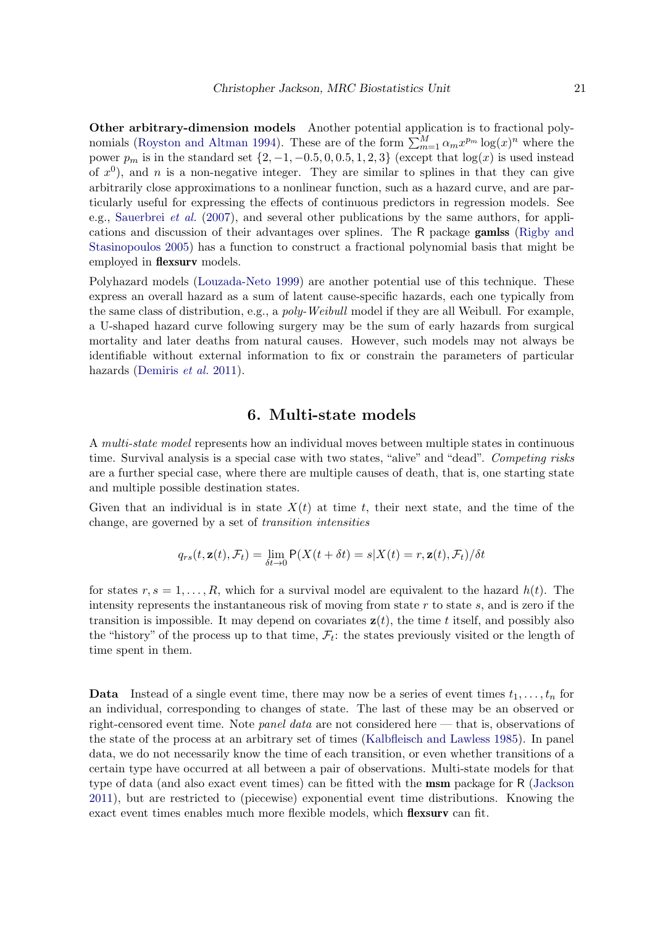Other arbitrary-dimension models Another potential application is to fractional poly-nomials [\(Royston and Altman](#page-31-12) [1994\)](#page-31-12). These are of the form  $\sum_{m=1}^{M} \alpha_m x^{p_m} \log(x)^n$  where the power  $p_m$  is in the standard set  $\{2, -1, -0.5, 0, 0.5, 1, 2, 3\}$  (except that  $\log(x)$  is used instead of  $x^0$ ), and n is a non-negative integer. They are similar to splines in that they can give arbitrarily close approximations to a nonlinear function, such as a hazard curve, and are particularly useful for expressing the effects of continuous predictors in regression models. See e.g., [Sauerbrei](#page-32-5) *et al.* [\(2007\)](#page-32-5), and several other publications by the same authors, for applications and discussion of their advantages over splines. The R package gamlss [\(Rigby and](#page-31-13) [Stasinopoulos](#page-31-13) [2005\)](#page-31-13) has a function to construct a fractional polynomial basis that might be employed in flexsurv models.

Polyhazard models [\(Louzada-Neto](#page-31-14) [1999\)](#page-31-14) are another potential use of this technique. These express an overall hazard as a sum of latent cause-specific hazards, each one typically from the same class of distribution, e.g., a *poly-Weibull* model if they are all Weibull. For example, a U-shaped hazard curve following surgery may be the sum of early hazards from surgical mortality and later deaths from natural causes. However, such models may not always be identifiable without external information to fix or constrain the parameters of particular hazards [\(Demiris](#page-30-6) et al. [2011\)](#page-30-6).

## 6. Multi-state models

<span id="page-20-0"></span>A multi-state model represents how an individual moves between multiple states in continuous time. Survival analysis is a special case with two states, "alive" and "dead". Competing risks are a further special case, where there are multiple causes of death, that is, one starting state and multiple possible destination states.

Given that an individual is in state  $X(t)$  at time t, their next state, and the time of the change, are governed by a set of transition intensities

$$
q_{rs}(t, \mathbf{z}(t), \mathcal{F}_t) = \lim_{\delta t \to 0} \mathsf{P}(X(t + \delta t) = s | X(t) = r, \mathbf{z}(t), \mathcal{F}_t) / \delta t
$$

for states  $r, s = 1, \ldots, R$ , which for a survival model are equivalent to the hazard  $h(t)$ . The intensity represents the instantaneous risk of moving from state  $r$  to state  $s$ , and is zero if the transition is impossible. It may depend on covariates  $z(t)$ , the time t itself, and possibly also the "history" of the process up to that time,  $\mathcal{F}_t$ : the states previously visited or the length of time spent in them.

**Data** Instead of a single event time, there may now be a series of event times  $t_1, \ldots, t_n$  for an individual, corresponding to changes of state. The last of these may be an observed or right-censored event time. Note panel data are not considered here — that is, observations of the state of the process at an arbitrary set of times [\(Kalbfleisch and Lawless](#page-30-7) [1985\)](#page-30-7). In panel data, we do not necessarily know the time of each transition, or even whether transitions of a certain type have occurred at all between a pair of observations. Multi-state models for that type of data (and also exact event times) can be fitted with the msm package for R [\(Jackson](#page-30-8) [2011\)](#page-30-8), but are restricted to (piecewise) exponential event time distributions. Knowing the exact event times enables much more flexible models, which **flexsurv** can fit.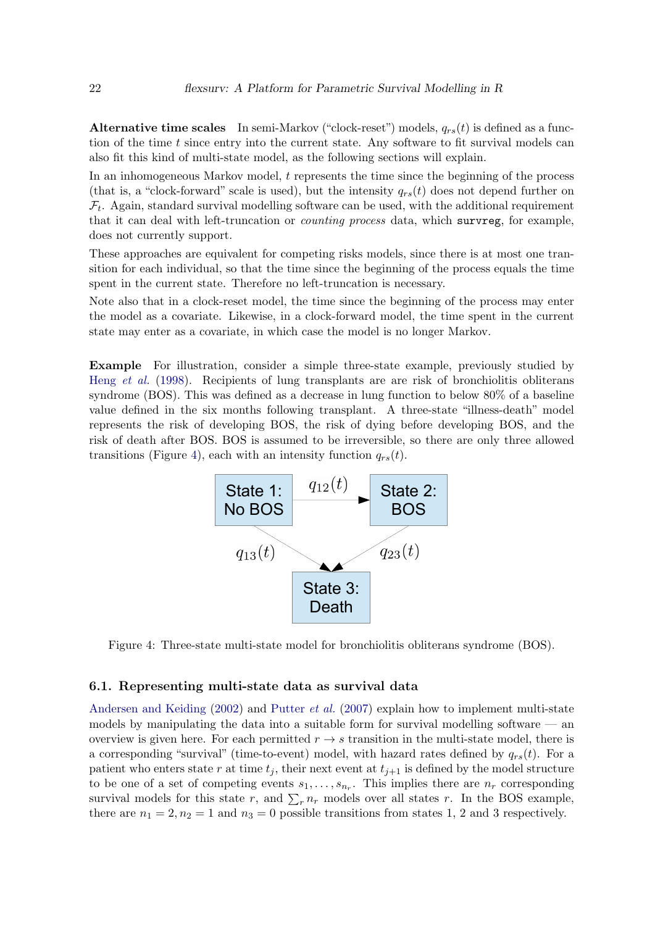Alternative time scales In semi-Markov ("clock-reset") models,  $q_{rs}(t)$  is defined as a function of the time t since entry into the current state. Any software to fit survival models can also fit this kind of multi-state model, as the following sections will explain.

In an inhomogeneous Markov model,  $t$  represents the time since the beginning of the process (that is, a "clock-forward" scale is used), but the intensity  $q_{rs}(t)$  does not depend further on  $\mathcal{F}_t$ . Again, standard survival modelling software can be used, with the additional requirement that it can deal with left-truncation or counting process data, which survreg, for example, does not currently support.

These approaches are equivalent for competing risks models, since there is at most one transition for each individual, so that the time since the beginning of the process equals the time spent in the current state. Therefore no left-truncation is necessary.

Note also that in a clock-reset model, the time since the beginning of the process may enter the model as a covariate. Likewise, in a clock-forward model, the time spent in the current state may enter as a covariate, in which case the model is no longer Markov.

Example For illustration, consider a simple three-state example, previously studied by Heng [et al.](#page-30-9) [\(1998\)](#page-30-9). Recipients of lung transplants are are risk of bronchiolitis obliterans syndrome (BOS). This was defined as a decrease in lung function to below 80% of a baseline value defined in the six months following transplant. A three-state "illness-death" model represents the risk of developing BOS, the risk of dying before developing BOS, and the risk of death after BOS. BOS is assumed to be irreversible, so there are only three allowed transitions (Figure [4\)](#page-21-0), each with an intensity function  $q_{rs}(t)$ .



<span id="page-21-0"></span>Figure 4: Three-state multi-state model for bronchiolitis obliterans syndrome (BOS).

#### 6.1. Representing multi-state data as survival data

[Andersen and Keiding](#page-29-6) [\(2002\)](#page-29-6) and [Putter](#page-31-15) *et al.* [\(2007\)](#page-31-15) explain how to implement multi-state models by manipulating the data into a suitable form for survival modelling software  $-$  an overview is given here. For each permitted  $r \rightarrow s$  transition in the multi-state model, there is a corresponding "survival" (time-to-event) model, with hazard rates defined by  $q_{rs}(t)$ . For a patient who enters state r at time  $t_j$ , their next event at  $t_{j+1}$  is defined by the model structure to be one of a set of competing events  $s_1, \ldots, s_{n_r}$ . This implies there are  $n_r$  corresponding survival models for this state r, and  $\sum_r n_r$  models over all states r. In the BOS example, there are  $n_1 = 2$ ,  $n_2 = 1$  and  $n_3 = 0$  possible transitions from states 1, 2 and 3 respectively.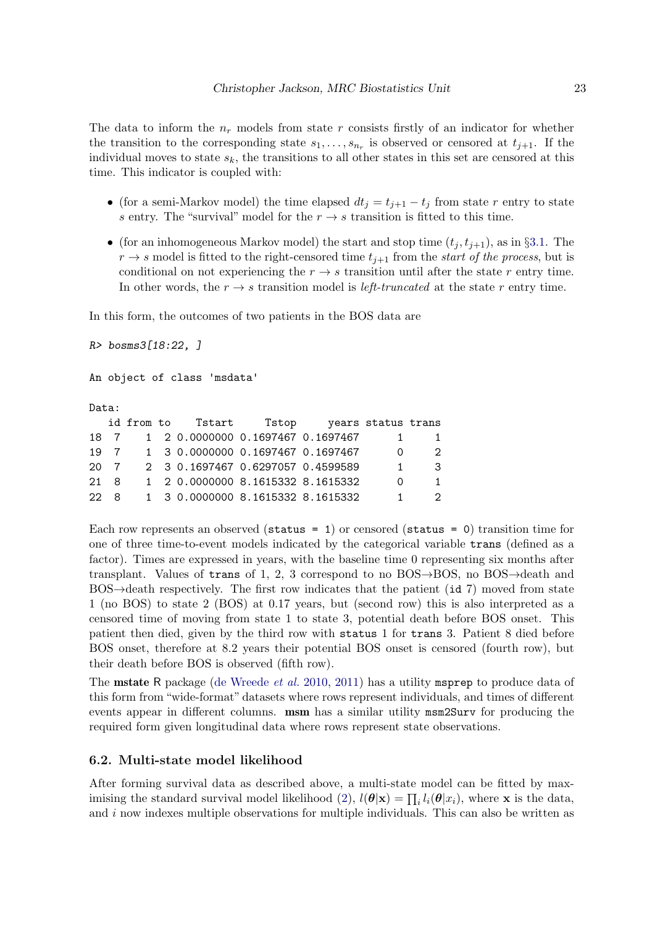The data to inform the  $n_r$  models from state r consists firstly of an indicator for whether the transition to the corresponding state  $s_1, \ldots, s_{n_r}$  is observed or censored at  $t_{j+1}$ . If the individual moves to state  $s_k$ , the transitions to all other states in this set are censored at this time. This indicator is coupled with:

- (for a semi-Markov model) the time elapsed  $dt_j = t_{j+1} t_j$  from state r entry to state s entry. The "survival" model for the  $r \to s$  transition is fitted to this time.
- (for an inhomogeneous Markov model) the start and stop time  $(t_j, t_{j+1})$ , as in §[3.1.](#page-4-0) The  $r \rightarrow s$  model is fitted to the right-censored time  $t_{j+1}$  from the start of the process, but is conditional on not experiencing the  $r \rightarrow s$  transition until after the state r entry time. In other words, the  $r \rightarrow s$  transition model is *left-truncated* at the state r entry time.

In this form, the outcomes of two patients in the BOS data are

R> bosms3[18:22, ]

An object of class 'msdata'

Data:

|      |  | id from to Tstart Tstop years status trans |  |                |               |
|------|--|--------------------------------------------|--|----------------|---------------|
| 18 7 |  | 1 2 0.0000000 0.1697467 0.1697467          |  | $\mathbf{1}$   | -1            |
| 19 7 |  | 1 3 0.0000000 0.1697467 0.1697467          |  | $\Omega$       | 2             |
| 20 7 |  | 2 3 0.1697467 0.6297057 0.4599589          |  | $\overline{1}$ | $\mathcal{B}$ |
| 21 8 |  | 1 2 0.0000000 8.1615332 8.1615332          |  | $\cap$         | 1             |
| 22 8 |  | 1 3 0.0000000 8.1615332 8.1615332          |  | 1.             | 2             |

Each row represents an observed (status = 1) or censored (status = 0) transition time for one of three time-to-event models indicated by the categorical variable trans (defined as a factor). Times are expressed in years, with the baseline time 0 representing six months after transplant. Values of trans of 1, 2, 3 correspond to no BOS $\rightarrow$ BOS, no BOS $\rightarrow$ death and BOS $\rightarrow$ death respectively. The first row indicates that the patient (id 7) moved from state 1 (no BOS) to state 2 (BOS) at 0.17 years, but (second row) this is also interpreted as a censored time of moving from state 1 to state 3, potential death before BOS onset. This patient then died, given by the third row with status 1 for trans 3. Patient 8 died before BOS onset, therefore at 8.2 years their potential BOS onset is censored (fourth row), but their death before BOS is observed (fifth row).

The **mstate** R package [\(de Wreede](#page-30-10) *et al.* [2010,](#page-30-10) [2011\)](#page-30-0) has a utility **msprep** to produce data of this form from "wide-format" datasets where rows represent individuals, and times of different events appear in different columns. msm has a similar utility msm2Surv for producing the required form given longitudinal data where rows represent state observations.

#### 6.2. Multi-state model likelihood

After forming survival data as described above, a multi-state model can be fitted by max-imising the standard survival model likelihood [\(2\)](#page-2-3),  $l(\theta|\mathbf{x}) = \prod_i l_i(\theta|x_i)$ , where **x** is the data, and  $i$  now indexes multiple observations for multiple individuals. This can also be written as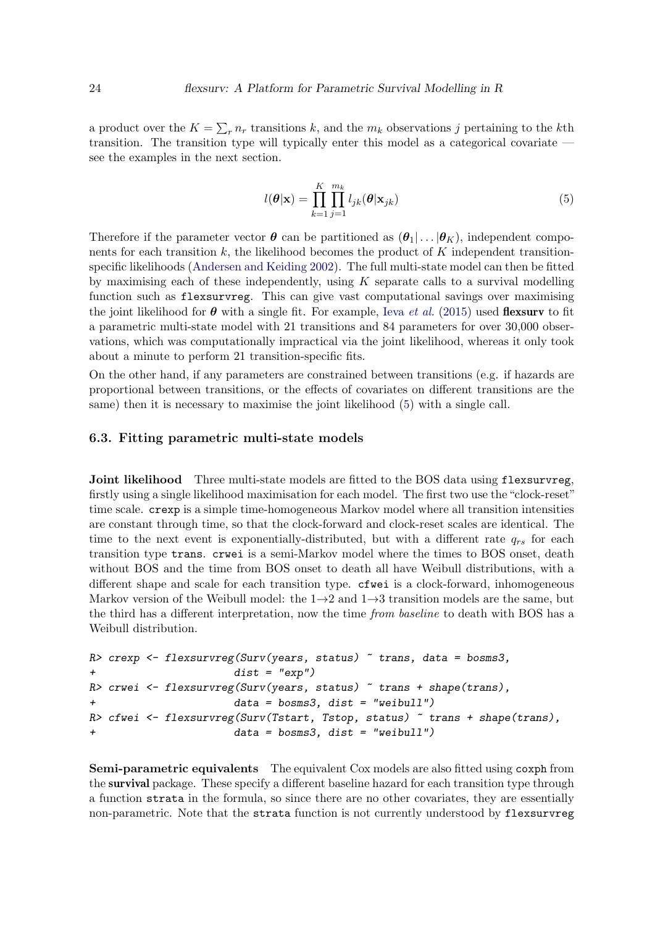a product over the  $K = \sum_r n_r$  transitions k, and the  $m_k$  observations j pertaining to the kth transition. The transition type will typically enter this model as a categorical covariate see the examples in the next section.

<span id="page-23-0"></span>
$$
l(\boldsymbol{\theta}|\mathbf{x}) = \prod_{k=1}^{K} \prod_{j=1}^{m_k} l_{jk}(\boldsymbol{\theta}|\mathbf{x}_{jk})
$$
\n(5)

Therefore if the parameter vector  $\boldsymbol{\theta}$  can be partitioned as  $(\boldsymbol{\theta}_1 | \dots | \boldsymbol{\theta}_K)$ , independent components for each transition  $k$ , the likelihood becomes the product of  $K$  independent transitionspecific likelihoods [\(Andersen and Keiding](#page-29-6) [2002\)](#page-29-6). The full multi-state model can then be fitted by maximising each of these independently, using  $K$  separate calls to a survival modelling function such as flexsurvreg. This can give vast computational savings over maximising the joint likelihood for  $\theta$  with a single fit. For example, Ieva *[et al.](#page-30-11)* [\(2015\)](#page-30-11) used **flexsurv** to fit a parametric multi-state model with 21 transitions and 84 parameters for over 30,000 observations, which was computationally impractical via the joint likelihood, whereas it only took about a minute to perform 21 transition-specific fits.

On the other hand, if any parameters are constrained between transitions (e.g. if hazards are proportional between transitions, or the effects of covariates on different transitions are the same) then it is necessary to maximise the joint likelihood [\(5\)](#page-23-0) with a single call.

#### 6.3. Fitting parametric multi-state models

**Joint likelihood** Three multi-state models are fitted to the BOS data using flexsurvreg, firstly using a single likelihood maximisation for each model. The first two use the "clock-reset" time scale. crexp is a simple time-homogeneous Markov model where all transition intensities are constant through time, so that the clock-forward and clock-reset scales are identical. The time to the next event is exponentially-distributed, but with a different rate  $q_{rs}$  for each transition type trans. crwei is a semi-Markov model where the times to BOS onset, death without BOS and the time from BOS onset to death all have Weibull distributions, with a different shape and scale for each transition type.  $\epsilon$  fwei is a clock-forward, inhomogeneous Markov version of the Weibull model: the  $1\rightarrow 2$  and  $1\rightarrow 3$  transition models are the same, but the third has a different interpretation, now the time from baseline to death with BOS has a Weibull distribution.

```
R> crexp \leq flexsurvreg(Surv(years, status) \sim trans, data = bosms3,
+ dist = "exp")
R> crwei <- flexsurvreg(Surv(years, status) ~ trans + shape(trans),
                     data = bosms3, dist = "weibull")R> cfwei \le flexsurvreg(Surv(Tstart, Tstop, status) \tilde{ } trans + shape(trans),
+ data = bosms3, dist = "weibull")
```
Semi-parametric equivalents The equivalent Cox models are also fitted using coxph from the survival package. These specify a different baseline hazard for each transition type through a function strata in the formula, so since there are no other covariates, they are essentially non-parametric. Note that the strata function is not currently understood by flexsurvreg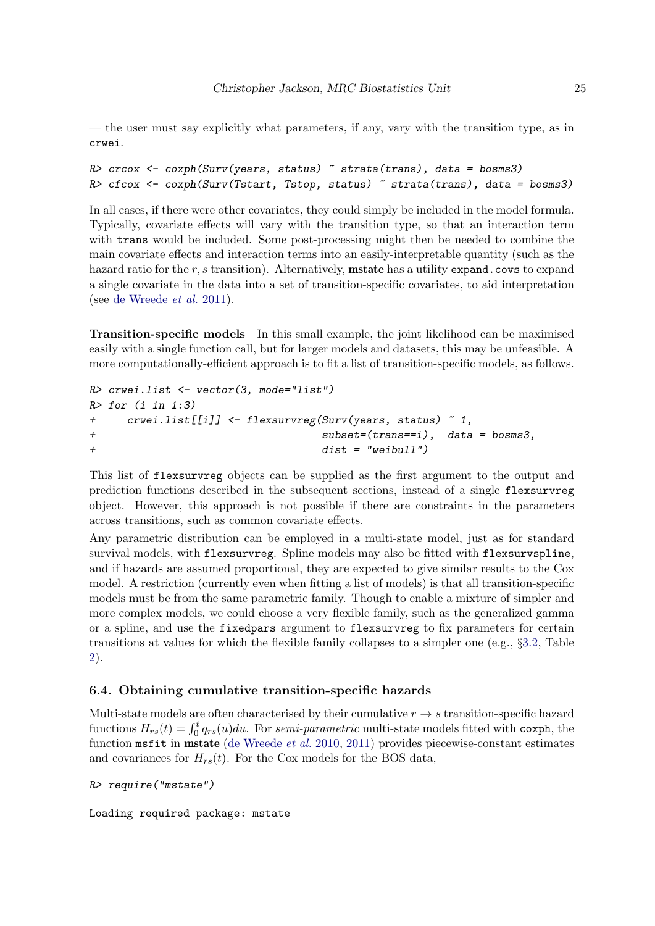— the user must say explicitly what parameters, if any, vary with the transition type, as in crwei.

```
R> crcox <- coxph(Surv(years, status) \tilde{ } strata(trans), data = bosms3)
R> cfcox <- coxph(Surv(Tstart, Tstop, status) ~ strata(trans), data = bosms3)
```
In all cases, if there were other covariates, they could simply be included in the model formula. Typically, covariate effects will vary with the transition type, so that an interaction term with **trans** would be included. Some post-processing might then be needed to combine the main covariate effects and interaction terms into an easily-interpretable quantity (such as the hazard ratio for the  $r, s$  transition). Alternatively, **mstate** has a utility expand.covs to expand a single covariate in the data into a set of transition-specific covariates, to aid interpretation (see [de Wreede](#page-30-0) et al. [2011\)](#page-30-0).

Transition-specific models In this small example, the joint likelihood can be maximised easily with a single function call, but for larger models and datasets, this may be unfeasible. A more computationally-efficient approach is to fit a list of transition-specific models, as follows.

```
R> crwei.list <- vector(3, mode="list")
R> for (i in 1:3)+ crwei.list[[i]] <- flexsurvreg(Surv(years, status) ~ 1,
+ subset=(trans==i), data = bosms3,
+ dist = "weibull")
```
This list of flexsurvreg objects can be supplied as the first argument to the output and prediction functions described in the subsequent sections, instead of a single flexsurvreg object. However, this approach is not possible if there are constraints in the parameters across transitions, such as common covariate effects.

Any parametric distribution can be employed in a multi-state model, just as for standard survival models, with flexsurvreg. Spline models may also be fitted with flexsurvspline, and if hazards are assumed proportional, they are expected to give similar results to the Cox model. A restriction (currently even when fitting a list of models) is that all transition-specific models must be from the same parametric family. Though to enable a mixture of simpler and more complex models, we could choose a very flexible family, such as the generalized gamma or a spline, and use the fixedpars argument to flexsurvreg to fix parameters for certain transitions at values for which the flexible family collapses to a simpler one (e.g., §[3.2,](#page-5-1) Table [2\)](#page-14-0).

### 6.4. Obtaining cumulative transition-specific hazards

Multi-state models are often characterised by their cumulative  $r \rightarrow s$  transition-specific hazard functions  $H_{rs}(t) = \int_0^t q_{rs}(u)du$ . For semi-parametric multi-state models fitted with coxph, the function msfit in mstate [\(de Wreede](#page-30-10) et al. [2010,](#page-30-10) [2011\)](#page-30-0) provides piecewise-constant estimates and covariances for  $H_{rs}(t)$ . For the Cox models for the BOS data,

```
R> require("mstate")
```
Loading required package: mstate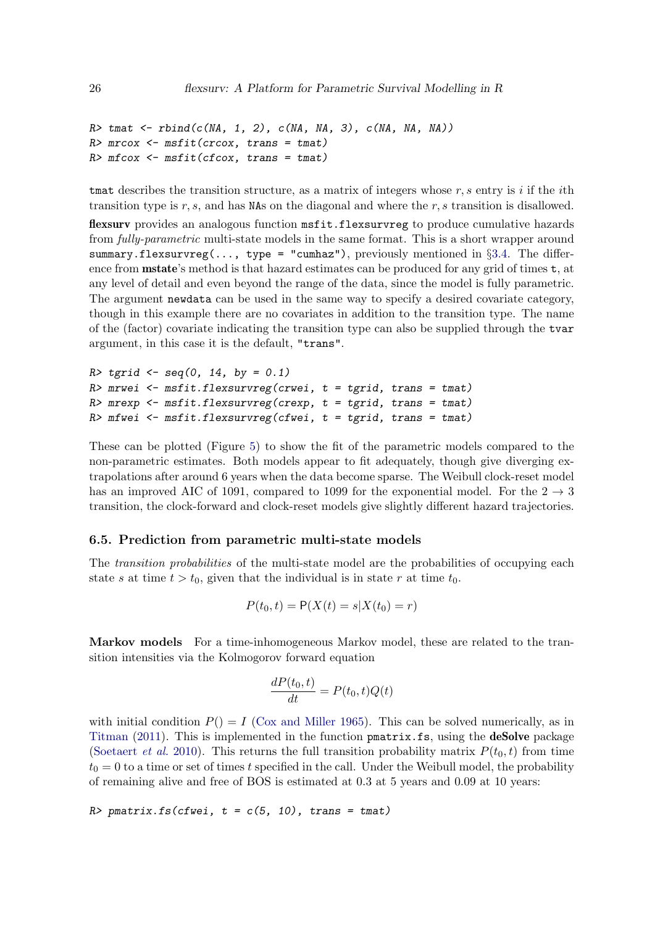```
R tmat \leq rbind(c(NA, 1, 2), c(NA, NA, 3), c(NA, NA, NA))
R> mrcox <- msfit(crcox, trans = tmat)
R> mfcox \leq msfit(cfcox, trans = tmat)
```
that describes the transition structure, as a matrix of integers whose r, s entry is i if the ith transition type is r, s, and has NAs on the diagonal and where the r, s transition is disallowed.

flexsurv provides an analogous function msfit.flexsurvreg to produce cumulative hazards from fully-parametric multi-state models in the same format. This is a short wrapper around summary.flexsurvreg(..., type = "cumhaz"), previously mentioned in §[3.4.](#page-6-0) The difference from **mstate**'s method is that hazard estimates can be produced for any grid of times  $t$ , at any level of detail and even beyond the range of the data, since the model is fully parametric. The argument newdata can be used in the same way to specify a desired covariate category, though in this example there are no covariates in addition to the transition type. The name of the (factor) covariate indicating the transition type can also be supplied through the tvar argument, in this case it is the default, "trans".

```
R tgrid \leq seq(0, 14, by = 0.1)
R> mrwei <- msfit.flexsurvreg(crwei, t = \text{tgrid}, trans = tmat)
R> mrexp <- msfit.flexsurvreg(crexp, t = tgrid, trans = tmat)
R> mfwei <- msfit.flexsurvreg(cfwei, t = \text{tgrid}, trans = tmat)
```
These can be plotted (Figure [5\)](#page-26-0) to show the fit of the parametric models compared to the non-parametric estimates. Both models appear to fit adequately, though give diverging extrapolations after around 6 years when the data become sparse. The Weibull clock-reset model has an improved AIC of 1091, compared to 1099 for the exponential model. For the  $2 \rightarrow 3$ transition, the clock-forward and clock-reset models give slightly different hazard trajectories.

#### 6.5. Prediction from parametric multi-state models

The *transition probabilities* of the multi-state model are the probabilities of occupying each state s at time  $t > t_0$ , given that the individual is in state r at time  $t_0$ .

$$
P(t_0, t) = P(X(t) = s | X(t_0) = r)
$$

Markov models For a time-inhomogeneous Markov model, these are related to the transition intensities via the Kolmogorov forward equation

$$
\frac{dP(t_0, t)}{dt} = P(t_0, t)Q(t)
$$

with initial condition  $P() = I$  [\(Cox and Miller](#page-29-7) [1965\)](#page-29-7). This can be solved numerically, as in [Titman](#page-32-6) [\(2011\)](#page-32-6). This is implemented in the function pmatrix.fs, using the deSolve package [\(Soetaert](#page-32-7) *et al.* [2010\)](#page-32-7). This returns the full transition probability matrix  $P(t_0, t)$  from time  $t_0 = 0$  to a time or set of times t specified in the call. Under the Weibull model, the probability of remaining alive and free of BOS is estimated at 0.3 at 5 years and 0.09 at 10 years:

```
R> pmatrix.fs(cfwei, t = c(5, 10), trans = tmat)
```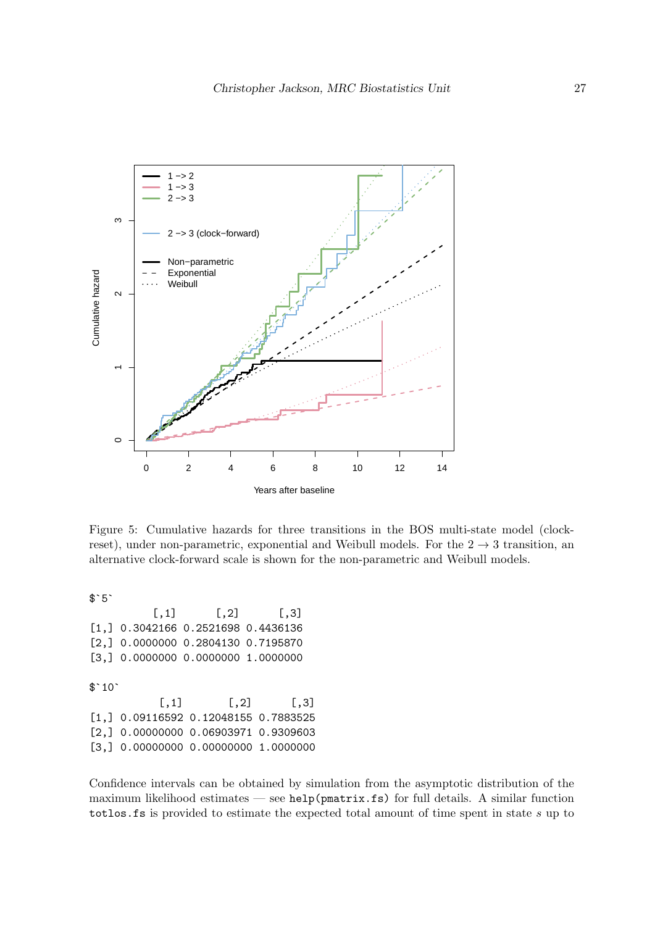

<span id="page-26-0"></span>Figure 5: Cumulative hazards for three transitions in the BOS multi-state model (clockreset), under non-parametric, exponential and Weibull models. For the  $2 \rightarrow 3$  transition, an alternative clock-forward scale is shown for the non-parametric and Weibull models.

\$`5`

 $[,1]$   $[,2]$   $[,3]$ [1,] 0.3042166 0.2521698 0.4436136 [2,] 0.0000000 0.2804130 0.7195870 [3,] 0.0000000 0.0000000 1.0000000  $$^{\text{-}}10^{\text{-}}$  $[$ ,1]  $[$ ,2]  $[$ ,3] [1,] 0.09116592 0.12048155 0.7883525 [2,] 0.00000000 0.06903971 0.9309603 [3,] 0.00000000 0.00000000 1.0000000

Confidence intervals can be obtained by simulation from the asymptotic distribution of the maximum likelihood estimates — see help(pmatrix.fs) for full details. A similar function totlos.fs is provided to estimate the expected total amount of time spent in state s up to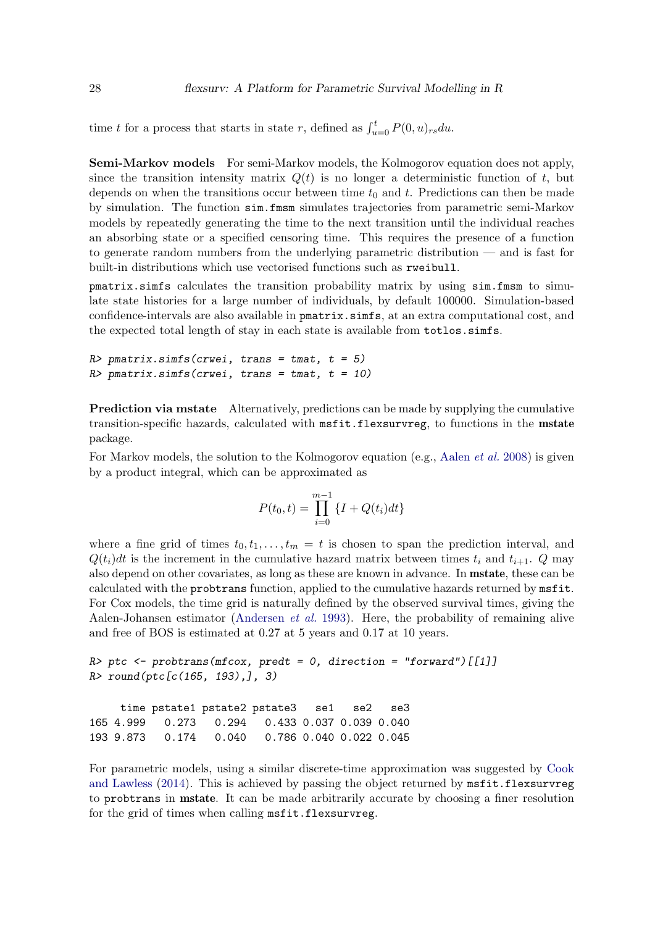time t for a process that starts in state r, defined as  $\int_{u=0}^{t} P(0, u)_{rs} du$ .

Semi-Markov models For semi-Markov models, the Kolmogorov equation does not apply, since the transition intensity matrix  $Q(t)$  is no longer a deterministic function of t, but depends on when the transitions occur between time  $t_0$  and t. Predictions can then be made by simulation. The function sim.fmsm simulates trajectories from parametric semi-Markov models by repeatedly generating the time to the next transition until the individual reaches an absorbing state or a specified censoring time. This requires the presence of a function to generate random numbers from the underlying parametric distribution — and is fast for built-in distributions which use vectorised functions such as rweibull.

pmatrix.simfs calculates the transition probability matrix by using sim.fmsm to simulate state histories for a large number of individuals, by default 100000. Simulation-based confidence-intervals are also available in pmatrix.simfs, at an extra computational cost, and the expected total length of stay in each state is available from totlos.simfs.

```
R> pmatrix.simfs(crwei, trans = tmat, t = 5)
R> pmatrix.simfs(crwei, trans = tmat, t = 10)
```
Prediction via mstate Alternatively, predictions can be made by supplying the cumulative transition-specific hazards, calculated with msfit.flexsurvreg, to functions in the mstate package.

For Markov models, the solution to the Kolmogorov equation (e.g., [Aalen](#page-29-0) *et al.* [2008\)](#page-29-0) is given by a product integral, which can be approximated as

$$
P(t_0, t) = \prod_{i=0}^{m-1} \{I + Q(t_i)dt\}
$$

where a fine grid of times  $t_0, t_1, \ldots, t_m = t$  is chosen to span the prediction interval, and  $Q(t_i)dt$  is the increment in the cumulative hazard matrix between times  $t_i$  and  $t_{i+1}$ . Q may also depend on other covariates, as long as these are known in advance. In mstate, these can be calculated with the probtrans function, applied to the cumulative hazards returned by msfit. For Cox models, the time grid is naturally defined by the observed survival times, giving the Aalen-Johansen estimator [\(Andersen](#page-29-8) et al. [1993\)](#page-29-8). Here, the probability of remaining alive and free of BOS is estimated at 0.27 at 5 years and 0.17 at 10 years.

```
R> ptc <- probtrans(mfcox, predt = 0, direction = "forward")[[1]]
R> round(ptc[c(165, 193),], 3)
```
time pstate1 pstate2 pstate3 se1 se2 se3 165 4.999 0.273 0.294 0.433 0.037 0.039 0.040 193 9.873 0.174 0.040 0.786 0.040 0.022 0.045

For parametric models, using a similar discrete-time approximation was suggested by [Cook](#page-29-9) [and Lawless](#page-29-9) [\(2014\)](#page-29-9). This is achieved by passing the object returned by msfit.flexsurvreg to probtrans in mstate. It can be made arbitrarily accurate by choosing a finer resolution for the grid of times when calling msfit.flexsurvreg.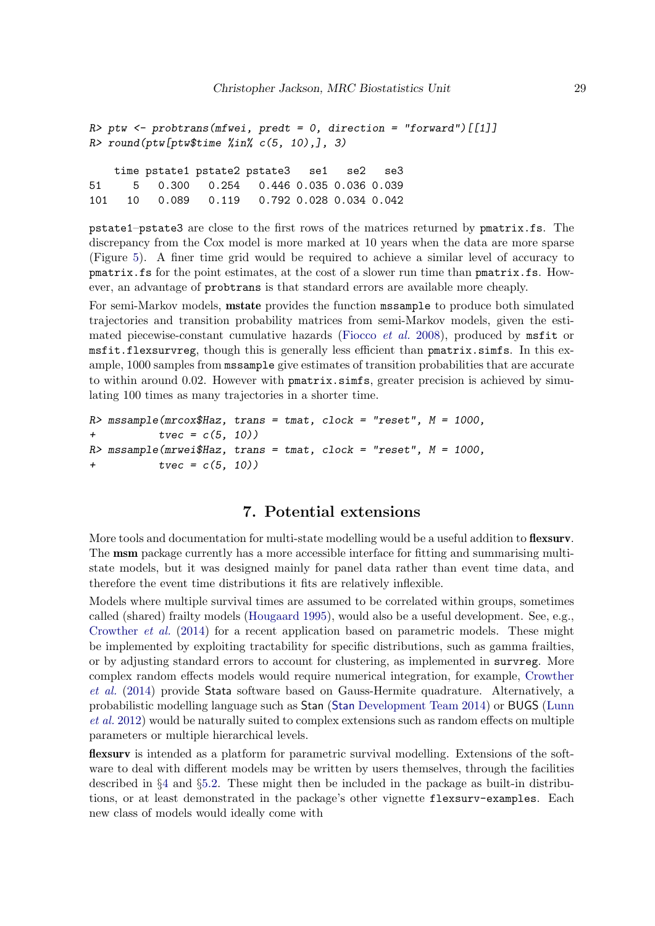```
R ptw \leftarrow probtrans(mfwei, predt = 0, direction = "forward")[[1]]
R> round(ptw[ptw$time %in% c(5, 10),], 3)
```
time pstate1 pstate2 pstate3 se1 se2 se3 51 5 0.300 0.254 0.446 0.035 0.036 0.039 101 10 0.089 0.119 0.792 0.028 0.034 0.042

pstate1–pstate3 are close to the first rows of the matrices returned by pmatrix.fs. The discrepancy from the Cox model is more marked at 10 years when the data are more sparse (Figure [5\)](#page-26-0). A finer time grid would be required to achieve a similar level of accuracy to pmatrix.fs for the point estimates, at the cost of a slower run time than pmatrix.fs. However, an advantage of probtrans is that standard errors are available more cheaply.

For semi-Markov models, mstate provides the function mssample to produce both simulated trajectories and transition probability matrices from semi-Markov models, given the esti-mated piecewise-constant cumulative hazards [\(Fiocco](#page-30-12) *et al.* [2008\)](#page-30-12), produced by  $msfit$  or msfit.flexsurvreg, though this is generally less efficient than pmatrix.simfs. In this example, 1000 samples from mssample give estimates of transition probabilities that are accurate to within around 0.02. However with pmatrix.simfs, greater precision is achieved by simulating 100 times as many trajectories in a shorter time.

```
R> mssample(mrcox$Haz, trans = tmat, clock = "reset", M = 1000,
+ t \vee c = c(5, 10)R> mssample(mrwei$Haz, trans = tmat, clock = "reset", M = 1000,
+ tvec = c(5, 10)
```
# 7. Potential extensions

<span id="page-28-0"></span>More tools and documentation for multi-state modelling would be a useful addition to **flexsury**. The msm package currently has a more accessible interface for fitting and summarising multistate models, but it was designed mainly for panel data rather than event time data, and therefore the event time distributions it fits are relatively inflexible.

Models where multiple survival times are assumed to be correlated within groups, sometimes called (shared) frailty models [\(Hougaard](#page-30-13) [1995\)](#page-30-13), would also be a useful development. See, e.g., [Crowther](#page-30-14) et al. [\(2014\)](#page-30-14) for a recent application based on parametric models. These might be implemented by exploiting tractability for specific distributions, such as gamma frailties, or by adjusting standard errors to account for clustering, as implemented in survreg. More complex random effects models would require numerical integration, for example, [Crowther](#page-30-14) [et al.](#page-30-14) [\(2014\)](#page-30-14) provide Stata software based on Gauss-Hermite quadrature. Alternatively, a probabilistic modelling language such as Stan (Stan [Development Team](#page-31-16) [2014\)](#page-31-16) or BUGS [\(Lunn](#page-31-17) [et al.](#page-31-17) [2012\)](#page-31-17) would be naturally suited to complex extensions such as random effects on multiple parameters or multiple hierarchical levels.

flexsurv is intended as a platform for parametric survival modelling. Extensions of the software to deal with different models may be written by users themselves, through the facilities described in §[4](#page-10-0) and §[5.2.](#page-17-1) These might then be included in the package as built-in distributions, or at least demonstrated in the package's other vignette flexsurv-examples. Each new class of models would ideally come with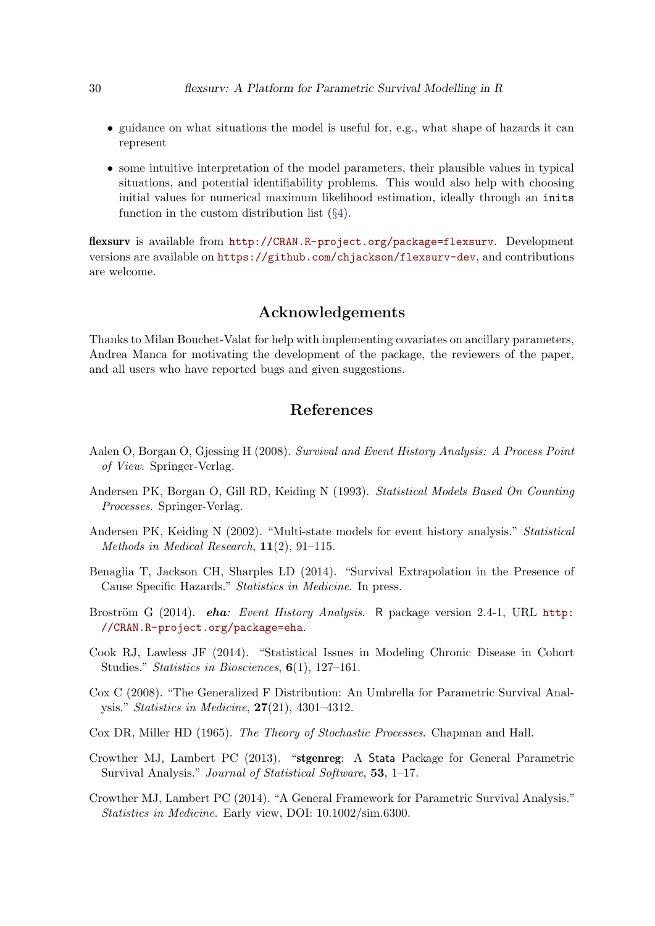- guidance on what situations the model is useful for, e.g., what shape of hazards it can represent
- some intuitive interpretation of the model parameters, their plausible values in typical situations, and potential identifiability problems. This would also help with choosing initial values for numerical maximum likelihood estimation, ideally through an inits function in the custom distribution list (§[4\)](#page-10-0).

flexsurv is available from <http://CRAN.R-project.org/package=flexsurv>. Development versions are available on <https://github.com/chjackson/flexsurv-dev>, and contributions are welcome.

# Acknowledgements

Thanks to Milan Bouchet-Valat for help with implementing covariates on ancillary parameters, Andrea Manca for motivating the development of the package, the reviewers of the paper, and all users who have reported bugs and given suggestions.

# References

- <span id="page-29-0"></span>Aalen O, Borgan O, Gjessing H (2008). Survival and Event History Analysis: A Process Point of View. Springer-Verlag.
- <span id="page-29-8"></span>Andersen PK, Borgan O, Gill RD, Keiding N (1993). Statistical Models Based On Counting Processes. Springer-Verlag.
- <span id="page-29-6"></span>Andersen PK, Keiding N (2002). "Multi-state models for event history analysis." Statistical Methods in Medical Research, 11(2), 91–115.
- <span id="page-29-1"></span>Benaglia T, Jackson CH, Sharples LD (2014). "Survival Extrapolation in the Presence of Cause Specific Hazards." Statistics in Medicine. In press.
- <span id="page-29-2"></span>Broström G (2014). *eha: Event History Analysis.* R package version 2.4-1, URL [http:](http://CRAN.R-project.org/package=eha) [//CRAN.R-project.org/package=eha](http://CRAN.R-project.org/package=eha).
- <span id="page-29-9"></span>Cook RJ, Lawless JF (2014). "Statistical Issues in Modeling Chronic Disease in Cohort Studies." Statistics in Biosciences, 6(1), 127–161.
- <span id="page-29-4"></span>Cox C (2008). "The Generalized F Distribution: An Umbrella for Parametric Survival Analysis." Statistics in Medicine, 27(21), 4301–4312.
- <span id="page-29-7"></span>Cox DR, Miller HD (1965). The Theory of Stochastic Processes. Chapman and Hall.
- <span id="page-29-3"></span>Crowther MJ, Lambert PC (2013). "stgenreg: A Stata Package for General Parametric Survival Analysis." Journal of Statistical Software, 53, 1–17.
- <span id="page-29-5"></span>Crowther MJ, Lambert PC (2014). "A General Framework for Parametric Survival Analysis." Statistics in Medicine. Early view, DOI: 10.1002/sim.6300.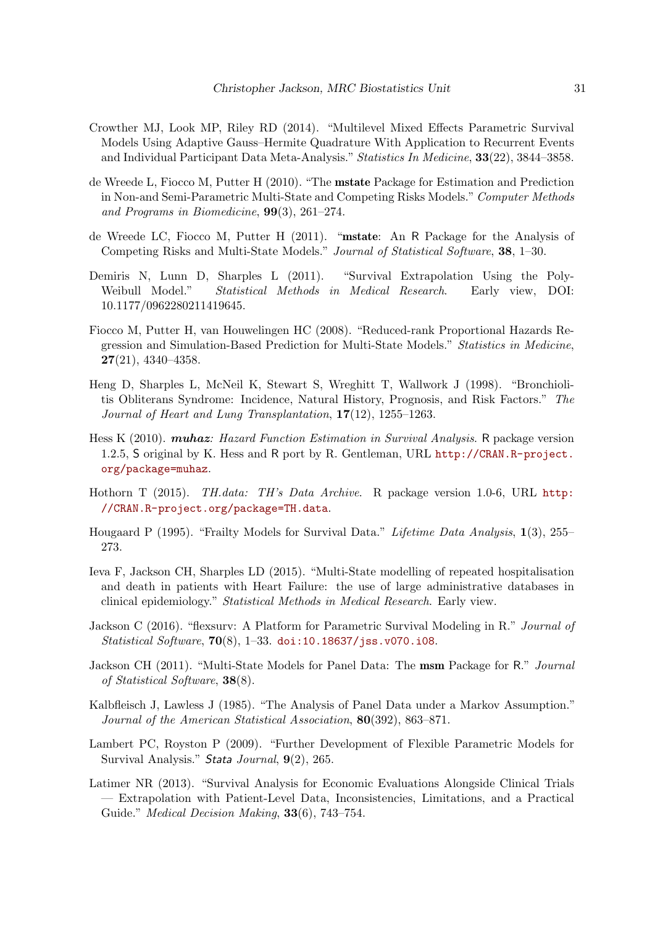- <span id="page-30-14"></span>Crowther MJ, Look MP, Riley RD (2014). "Multilevel Mixed Effects Parametric Survival Models Using Adaptive Gauss–Hermite Quadrature With Application to Recurrent Events and Individual Participant Data Meta-Analysis." Statistics In Medicine, 33(22), 3844–3858.
- <span id="page-30-10"></span>de Wreede L, Fiocco M, Putter H (2010). "The mstate Package for Estimation and Prediction in Non-and Semi-Parametric Multi-State and Competing Risks Models." Computer Methods and Programs in Biomedicine, 99(3), 261–274.
- <span id="page-30-0"></span>de Wreede LC, Fiocco M, Putter H (2011). "mstate: An R Package for the Analysis of Competing Risks and Multi-State Models." Journal of Statistical Software, 38, 1–30.
- <span id="page-30-6"></span>Demiris N, Lunn D, Sharples L (2011). "Survival Extrapolation Using the Poly-Weibull Model." Statistical Methods in Medical Research. Early view, DOI: 10.1177/0962280211419645.
- <span id="page-30-12"></span>Fiocco M, Putter H, van Houwelingen HC (2008). "Reduced-rank Proportional Hazards Regression and Simulation-Based Prediction for Multi-State Models." Statistics in Medicine, 27(21), 4340–4358.
- <span id="page-30-9"></span>Heng D, Sharples L, McNeil K, Stewart S, Wreghitt T, Wallwork J (1998). "Bronchiolitis Obliterans Syndrome: Incidence, Natural History, Prognosis, and Risk Factors." The Journal of Heart and Lung Transplantation, 17(12), 1255–1263.
- <span id="page-30-5"></span>Hess K (2010). *muhaz: Hazard Function Estimation in Survival Analysis*. R package version 1.2.5, S original by K. Hess and R port by R. Gentleman, URL [http://CRAN.R-project.](http://CRAN.R-project.org/package=muhaz) [org/package=muhaz](http://CRAN.R-project.org/package=muhaz).
- <span id="page-30-4"></span>Hothorn T (2015). TH.data: TH's Data Archive. R package version 1.0-6, URL [http:](http://CRAN.R-project.org/package=TH.data) [//CRAN.R-project.org/package=TH.data](http://CRAN.R-project.org/package=TH.data).
- <span id="page-30-13"></span>Hougaard P (1995). "Frailty Models for Survival Data." Lifetime Data Analysis, 1(3), 255– 273.
- <span id="page-30-11"></span>Ieva F, Jackson CH, Sharples LD (2015). "Multi-State modelling of repeated hospitalisation and death in patients with Heart Failure: the use of large administrative databases in clinical epidemiology." Statistical Methods in Medical Research. Early view.
- <span id="page-30-1"></span>Jackson C (2016). "flexsurv: A Platform for Parametric Survival Modeling in R." Journal of Statistical Software,  $70(8)$ , 1-33. [doi:10.18637/jss.v070.i08](http://dx.doi.org/10.18637/jss.v070.i08).
- <span id="page-30-8"></span>Jackson CH (2011). "Multi-State Models for Panel Data: The msm Package for R." *Journal* of Statistical Software, 38(8).
- <span id="page-30-7"></span>Kalbfleisch J, Lawless J (1985). "The Analysis of Panel Data under a Markov Assumption." Journal of the American Statistical Association, 80(392), 863–871.
- <span id="page-30-3"></span>Lambert PC, Royston P (2009). "Further Development of Flexible Parametric Models for Survival Analysis." Stata Journal, 9(2), 265.
- <span id="page-30-2"></span>Latimer NR (2013). "Survival Analysis for Economic Evaluations Alongside Clinical Trials — Extrapolation with Patient-Level Data, Inconsistencies, Limitations, and a Practical Guide." Medical Decision Making, 33(6), 743–754.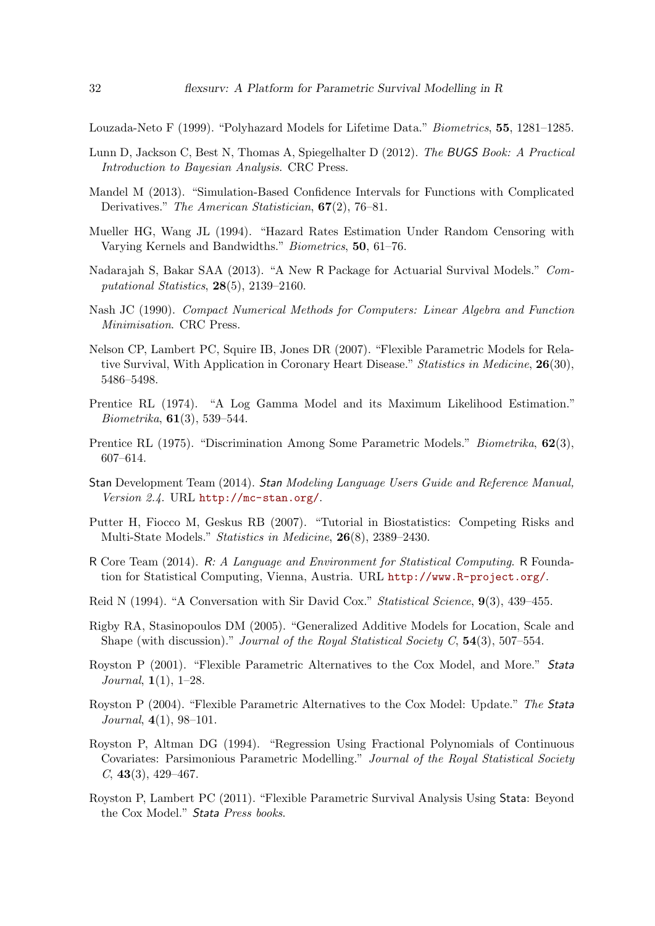<span id="page-31-14"></span>Louzada-Neto F (1999). "Polyhazard Models for Lifetime Data." Biometrics, 55, 1281–1285.

- <span id="page-31-17"></span>Lunn D, Jackson C, Best N, Thomas A, Spiegelhalter D (2012). The BUGS Book: A Practical Introduction to Bayesian Analysis. CRC Press.
- <span id="page-31-8"></span>Mandel M (2013). "Simulation-Based Confidence Intervals for Functions with Complicated Derivatives." The American Statistician, 67(2), 76–81.
- <span id="page-31-7"></span>Mueller HG, Wang JL (1994). "Hazard Rates Estimation Under Random Censoring with Varying Kernels and Bandwidths." Biometrics, 50, 61–76.
- <span id="page-31-2"></span>Nadarajah S, Bakar SAA (2013). "A New R Package for Actuarial Survival Models." Computational Statistics, 28(5), 2139–2160.
- <span id="page-31-9"></span>Nash JC (1990). Compact Numerical Methods for Computers: Linear Algebra and Function Minimisation. CRC Press.
- <span id="page-31-4"></span>Nelson CP, Lambert PC, Squire IB, Jones DR (2007). "Flexible Parametric Models for Relative Survival, With Application in Coronary Heart Disease." Statistics in Medicine, 26(30), 5486–5498.
- <span id="page-31-5"></span>Prentice RL (1974). "A Log Gamma Model and its Maximum Likelihood Estimation." Biometrika, 61(3), 539–544.
- <span id="page-31-6"></span>Prentice RL (1975). "Discrimination Among Some Parametric Models." *Biometrika*, **62**(3), 607–614.
- <span id="page-31-16"></span>Stan Development Team (2014). Stan Modeling Language Users Guide and Reference Manual, Version 2.4. URL <http://mc-stan.org/>.
- <span id="page-31-15"></span>Putter H, Fiocco M, Geskus RB (2007). "Tutorial in Biostatistics: Competing Risks and Multi-State Models." Statistics in Medicine, 26(8), 2389–2430.
- <span id="page-31-1"></span>R Core Team (2014). R: A Language and Environment for Statistical Computing. R Foundation for Statistical Computing, Vienna, Austria. URL <http://www.R-project.org/>.
- <span id="page-31-0"></span>Reid N (1994). "A Conversation with Sir David Cox." Statistical Science, 9(3), 439–455.
- <span id="page-31-13"></span>Rigby RA, Stasinopoulos DM (2005). "Generalized Additive Models for Location, Scale and Shape (with discussion)." Journal of the Royal Statistical Society C,  $54(3)$ , 507–554.
- <span id="page-31-3"></span>Royston P (2001). "Flexible Parametric Alternatives to the Cox Model, and More." Stata *Journal*,  $1(1)$ ,  $1-28$ .
- <span id="page-31-10"></span>Royston P (2004). "Flexible Parametric Alternatives to the Cox Model: Update." The Stata Journal, 4(1), 98–101.
- <span id="page-31-12"></span>Royston P, Altman DG (1994). "Regression Using Fractional Polynomials of Continuous Covariates: Parsimonious Parametric Modelling." Journal of the Royal Statistical Society  $C, 43(3), 429-467.$
- <span id="page-31-11"></span>Royston P, Lambert PC (2011). "Flexible Parametric Survival Analysis Using Stata: Beyond the Cox Model." Stata Press books.